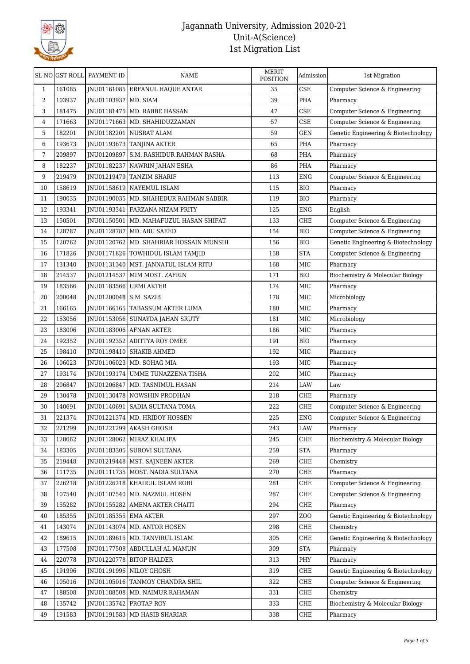

| 161085<br>35<br><b>CSE</b><br>JNU01161085 ERFANUL HAQUE ANTAR<br>Computer Science & Engineering<br>$\mathbf{1}$<br>JNU01103937   MD. SIAM<br>PHA<br>2<br>103937<br>39<br>Pharmacy<br>CSE<br>3<br>181475<br>JNU01181475   MD. RABBE HASSAN<br>47<br>Computer Science & Engineering<br>CSE<br>4<br>171663<br>JNU01171663   MD. SHAHIDUZZAMAN<br>57<br>Computer Science & Engineering<br>5<br>182201<br>59<br><b>GEN</b><br>Genetic Engineering & Biotechnology<br>JNU01182201   NUSRAT ALAM<br>6<br>193673<br>PHA<br>JNU01193673   TANJINA AKTER<br>65<br>Pharmacy<br>7<br>209897<br>JNU01209897 S.M. RASHIDUR RAHMAN RASHA<br>PHA<br>68<br>Pharmacy<br>182237<br>86<br>PHA<br>8<br>JNU01182237   NAWRIN JAHAN ESHA<br>Pharmacy<br>219479<br><b>ENG</b><br>9<br>JNU01219479 TANZIM SHARIF<br>113<br>Computer Science & Engineering<br>158619<br>JNU01158619 NAYEMUL ISLAM<br><b>BIO</b><br>10<br>115<br>Pharmacy<br><b>BIO</b><br>11<br>190035<br>JNU01190035   MD. SHAHEDUR RAHMAN SABBIR<br>119<br>Pharmacy<br>12<br>193341<br>JNU01193341   FARZANA NIZAM PRITY<br>125<br><b>ENG</b><br>English<br>150501<br><b>CHE</b><br>13<br>JNU01150501   MD. MAHAFUZUL HASAN SHIFAT<br>133<br>Computer Science & Engineering<br>128787<br><b>BIO</b><br>Computer Science & Engineering<br>14<br>JNU01128787   MD. ABU SAEED<br>154<br>120762<br><b>BIO</b><br>15<br>INU01120762 MD. SHAHRIAR HOSSAIN MUNSHI<br>156<br>Genetic Engineering & Biotechnology<br>171826<br><b>STA</b><br>16<br>JNU01171826   TOWHIDUL ISLAM TAMJID<br>158<br>Computer Science & Engineering<br>17<br>131340<br>JNU01131340   MST. JANNATUL ISLAM RITU<br>MIC<br>168<br>Pharmacy<br>18<br>214537<br>JNU01214537   MIM MOST. ZAFRIN<br>171<br><b>BIO</b><br>Biochemistry & Molecular Biology<br>19<br>183566<br>JNU01183566 URMI AKTER<br>174<br>MIC<br>Pharmacy<br>200048<br>JNU01200048 S.M. SAZIB<br>178<br>MIC<br>Microbiology<br>20<br>166165<br>MIC<br>21<br>JNU01166165   TABASSUM AKTER LUMA<br>180<br>Pharmacy<br>153056<br>MIC<br>Microbiology<br>22<br>JNU01153056 SUNAYDA JAHAN SRUTY<br>181<br>23<br>JNU01183006 AFNAN AKTER<br>MIC<br>183006<br>186<br>Pharmacy<br>192352<br><b>BIO</b><br>24<br>JNU01192352 ADITTYA ROY OMEE<br>191<br>Pharmacy<br>25<br>198410<br>MIC<br>JNU01198410   SHAKIB AHMED<br>192<br>Pharmacy<br>106023<br>26<br>JNU01106023   MD. SOHAG MIA<br>193<br>MIC<br>Pharmacy<br>27<br>193174<br>202<br>MIC<br>JNU01193174 UMME TUNAZZENA TISHA<br>Pharmacy<br>206847<br>28<br>INU01206847   MD. TASNIMUL HASAN<br>214<br>LAW<br>Law<br>130478<br>29<br><b>INU01130478 NOWSHIN PRODHAN</b><br>218<br>CHE<br>Pharmacy<br>30<br>140691<br>INU01140691 SADIA SULTANA TOMA<br>222<br>CHE<br>Computer Science & Engineering<br>31<br>221374<br>JNU01221374   MD. HRIDOY HOSSEN<br>225<br><b>ENG</b><br>Computer Science & Engineering<br>221299<br>LAW<br>INU01221299 AKASH GHOSH<br>Pharmacy<br>32<br>243<br>128062<br>CHE<br>Biochemistry & Molecular Biology<br>33<br>JNU01128062 MIRAZ KHALIFA<br>245<br>$\operatorname{STA}$<br>183305<br>JNU01183305   SUROVI SULTANA<br>259<br>34<br>Pharmacy<br>CHE<br>35<br>219448<br>JNU01219448   MST. SAJNEEN AKTER<br>269<br>Chemistry<br>CHE<br>36<br>111735<br>INU01111735   MOST. NADIA SULTANA<br>270<br>Pharmacy<br>226218<br>CHE<br>37<br>JNU01226218   KHAIRUL ISLAM ROBI<br>281<br>Computer Science & Engineering<br>CHE<br>107540<br>JNU01107540   MD. NAZMUL HOSEN<br>287<br>Computer Science & Engineering<br>38<br>155282<br>CHE<br>39<br>JNU01155282 AMENA AKTER CHAITI<br>294<br>Pharmacy<br>Z <sub>0</sub><br>185355<br>JNU01185355   EMA AKTER<br>297<br>Genetic Engineering & Biotechnology<br>40<br>143074<br>JNU01143074   MD. ANTOR HOSEN<br>CHE<br>Chemistry<br>41<br>298<br>189615<br>42<br>JNU01189615   MD. TANVIRUL ISLAM<br>305<br>CHE<br>Genetic Engineering & Biotechnology<br>177508<br><b>STA</b><br>43<br>JNU01177508 ABDULLAH AL MAMUN<br>309<br>Pharmacy<br>220778<br>PHY<br>JNU01220778   BITOP HALDER<br>313<br>44<br>Pharmacy<br>CHE<br>191996<br>JNU01191996 NILOY GHOSH<br>319<br>Genetic Engineering & Biotechnology<br>45<br>105016<br>JNU01105016   TANMOY CHANDRA SHIL<br>322<br>CHE<br>Computer Science & Engineering<br>46<br>47<br>188508<br>JNU01188508   MD. NAIMUR RAHAMAN<br>331<br>CHE<br>Chemistry<br>135742<br>CHE<br>48<br>JNU01135742   PROTAP ROY<br>333<br>Biochemistry & Molecular Biology<br>49<br>191583<br>JNU01191583   MD HASIB SHARIAR<br>CHE<br>Pharmacy<br>338 | SL NO GST ROLL | <b>PAYMENT ID</b> | <b>NAME</b> | <b>MERIT</b><br><b>POSITION</b> | Admission | 1st Migration |
|----------------------------------------------------------------------------------------------------------------------------------------------------------------------------------------------------------------------------------------------------------------------------------------------------------------------------------------------------------------------------------------------------------------------------------------------------------------------------------------------------------------------------------------------------------------------------------------------------------------------------------------------------------------------------------------------------------------------------------------------------------------------------------------------------------------------------------------------------------------------------------------------------------------------------------------------------------------------------------------------------------------------------------------------------------------------------------------------------------------------------------------------------------------------------------------------------------------------------------------------------------------------------------------------------------------------------------------------------------------------------------------------------------------------------------------------------------------------------------------------------------------------------------------------------------------------------------------------------------------------------------------------------------------------------------------------------------------------------------------------------------------------------------------------------------------------------------------------------------------------------------------------------------------------------------------------------------------------------------------------------------------------------------------------------------------------------------------------------------------------------------------------------------------------------------------------------------------------------------------------------------------------------------------------------------------------------------------------------------------------------------------------------------------------------------------------------------------------------------------------------------------------------------------------------------------------------------------------------------------------------------------------------------------------------------------------------------------------------------------------------------------------------------------------------------------------------------------------------------------------------------------------------------------------------------------------------------------------------------------------------------------------------------------------------------------------------------------------------------------------------------------------------------------------------------------------------------------------------------------------------------------------------------------------------------------------------------------------------------------------------------------------------------------------------------------------------------------------------------------------------------------------------------------------------------------------------------------------------------------------------------------------------------------------------------------------------------------------------------------------------------------------------------------------------------------------------------------------------------------------------------------------------------------------------------------------------------------------------------------------------------------------------------------------------------------------------------------------------------------------------------------------------------------------------------------------------------------------------------------------------------------------------------------------------------------------------------------------------------------------------------------------------------------------------------------------------------------------------|----------------|-------------------|-------------|---------------------------------|-----------|---------------|
|                                                                                                                                                                                                                                                                                                                                                                                                                                                                                                                                                                                                                                                                                                                                                                                                                                                                                                                                                                                                                                                                                                                                                                                                                                                                                                                                                                                                                                                                                                                                                                                                                                                                                                                                                                                                                                                                                                                                                                                                                                                                                                                                                                                                                                                                                                                                                                                                                                                                                                                                                                                                                                                                                                                                                                                                                                                                                                                                                                                                                                                                                                                                                                                                                                                                                                                                                                                                                                                                                                                                                                                                                                                                                                                                                                                                                                                                                                                                                                                                                                                                                                                                                                                                                                                                                                                                                                                                                                                                            |                |                   |             |                                 |           |               |
|                                                                                                                                                                                                                                                                                                                                                                                                                                                                                                                                                                                                                                                                                                                                                                                                                                                                                                                                                                                                                                                                                                                                                                                                                                                                                                                                                                                                                                                                                                                                                                                                                                                                                                                                                                                                                                                                                                                                                                                                                                                                                                                                                                                                                                                                                                                                                                                                                                                                                                                                                                                                                                                                                                                                                                                                                                                                                                                                                                                                                                                                                                                                                                                                                                                                                                                                                                                                                                                                                                                                                                                                                                                                                                                                                                                                                                                                                                                                                                                                                                                                                                                                                                                                                                                                                                                                                                                                                                                                            |                |                   |             |                                 |           |               |
|                                                                                                                                                                                                                                                                                                                                                                                                                                                                                                                                                                                                                                                                                                                                                                                                                                                                                                                                                                                                                                                                                                                                                                                                                                                                                                                                                                                                                                                                                                                                                                                                                                                                                                                                                                                                                                                                                                                                                                                                                                                                                                                                                                                                                                                                                                                                                                                                                                                                                                                                                                                                                                                                                                                                                                                                                                                                                                                                                                                                                                                                                                                                                                                                                                                                                                                                                                                                                                                                                                                                                                                                                                                                                                                                                                                                                                                                                                                                                                                                                                                                                                                                                                                                                                                                                                                                                                                                                                                                            |                |                   |             |                                 |           |               |
|                                                                                                                                                                                                                                                                                                                                                                                                                                                                                                                                                                                                                                                                                                                                                                                                                                                                                                                                                                                                                                                                                                                                                                                                                                                                                                                                                                                                                                                                                                                                                                                                                                                                                                                                                                                                                                                                                                                                                                                                                                                                                                                                                                                                                                                                                                                                                                                                                                                                                                                                                                                                                                                                                                                                                                                                                                                                                                                                                                                                                                                                                                                                                                                                                                                                                                                                                                                                                                                                                                                                                                                                                                                                                                                                                                                                                                                                                                                                                                                                                                                                                                                                                                                                                                                                                                                                                                                                                                                                            |                |                   |             |                                 |           |               |
|                                                                                                                                                                                                                                                                                                                                                                                                                                                                                                                                                                                                                                                                                                                                                                                                                                                                                                                                                                                                                                                                                                                                                                                                                                                                                                                                                                                                                                                                                                                                                                                                                                                                                                                                                                                                                                                                                                                                                                                                                                                                                                                                                                                                                                                                                                                                                                                                                                                                                                                                                                                                                                                                                                                                                                                                                                                                                                                                                                                                                                                                                                                                                                                                                                                                                                                                                                                                                                                                                                                                                                                                                                                                                                                                                                                                                                                                                                                                                                                                                                                                                                                                                                                                                                                                                                                                                                                                                                                                            |                |                   |             |                                 |           |               |
|                                                                                                                                                                                                                                                                                                                                                                                                                                                                                                                                                                                                                                                                                                                                                                                                                                                                                                                                                                                                                                                                                                                                                                                                                                                                                                                                                                                                                                                                                                                                                                                                                                                                                                                                                                                                                                                                                                                                                                                                                                                                                                                                                                                                                                                                                                                                                                                                                                                                                                                                                                                                                                                                                                                                                                                                                                                                                                                                                                                                                                                                                                                                                                                                                                                                                                                                                                                                                                                                                                                                                                                                                                                                                                                                                                                                                                                                                                                                                                                                                                                                                                                                                                                                                                                                                                                                                                                                                                                                            |                |                   |             |                                 |           |               |
|                                                                                                                                                                                                                                                                                                                                                                                                                                                                                                                                                                                                                                                                                                                                                                                                                                                                                                                                                                                                                                                                                                                                                                                                                                                                                                                                                                                                                                                                                                                                                                                                                                                                                                                                                                                                                                                                                                                                                                                                                                                                                                                                                                                                                                                                                                                                                                                                                                                                                                                                                                                                                                                                                                                                                                                                                                                                                                                                                                                                                                                                                                                                                                                                                                                                                                                                                                                                                                                                                                                                                                                                                                                                                                                                                                                                                                                                                                                                                                                                                                                                                                                                                                                                                                                                                                                                                                                                                                                                            |                |                   |             |                                 |           |               |
|                                                                                                                                                                                                                                                                                                                                                                                                                                                                                                                                                                                                                                                                                                                                                                                                                                                                                                                                                                                                                                                                                                                                                                                                                                                                                                                                                                                                                                                                                                                                                                                                                                                                                                                                                                                                                                                                                                                                                                                                                                                                                                                                                                                                                                                                                                                                                                                                                                                                                                                                                                                                                                                                                                                                                                                                                                                                                                                                                                                                                                                                                                                                                                                                                                                                                                                                                                                                                                                                                                                                                                                                                                                                                                                                                                                                                                                                                                                                                                                                                                                                                                                                                                                                                                                                                                                                                                                                                                                                            |                |                   |             |                                 |           |               |
|                                                                                                                                                                                                                                                                                                                                                                                                                                                                                                                                                                                                                                                                                                                                                                                                                                                                                                                                                                                                                                                                                                                                                                                                                                                                                                                                                                                                                                                                                                                                                                                                                                                                                                                                                                                                                                                                                                                                                                                                                                                                                                                                                                                                                                                                                                                                                                                                                                                                                                                                                                                                                                                                                                                                                                                                                                                                                                                                                                                                                                                                                                                                                                                                                                                                                                                                                                                                                                                                                                                                                                                                                                                                                                                                                                                                                                                                                                                                                                                                                                                                                                                                                                                                                                                                                                                                                                                                                                                                            |                |                   |             |                                 |           |               |
|                                                                                                                                                                                                                                                                                                                                                                                                                                                                                                                                                                                                                                                                                                                                                                                                                                                                                                                                                                                                                                                                                                                                                                                                                                                                                                                                                                                                                                                                                                                                                                                                                                                                                                                                                                                                                                                                                                                                                                                                                                                                                                                                                                                                                                                                                                                                                                                                                                                                                                                                                                                                                                                                                                                                                                                                                                                                                                                                                                                                                                                                                                                                                                                                                                                                                                                                                                                                                                                                                                                                                                                                                                                                                                                                                                                                                                                                                                                                                                                                                                                                                                                                                                                                                                                                                                                                                                                                                                                                            |                |                   |             |                                 |           |               |
|                                                                                                                                                                                                                                                                                                                                                                                                                                                                                                                                                                                                                                                                                                                                                                                                                                                                                                                                                                                                                                                                                                                                                                                                                                                                                                                                                                                                                                                                                                                                                                                                                                                                                                                                                                                                                                                                                                                                                                                                                                                                                                                                                                                                                                                                                                                                                                                                                                                                                                                                                                                                                                                                                                                                                                                                                                                                                                                                                                                                                                                                                                                                                                                                                                                                                                                                                                                                                                                                                                                                                                                                                                                                                                                                                                                                                                                                                                                                                                                                                                                                                                                                                                                                                                                                                                                                                                                                                                                                            |                |                   |             |                                 |           |               |
|                                                                                                                                                                                                                                                                                                                                                                                                                                                                                                                                                                                                                                                                                                                                                                                                                                                                                                                                                                                                                                                                                                                                                                                                                                                                                                                                                                                                                                                                                                                                                                                                                                                                                                                                                                                                                                                                                                                                                                                                                                                                                                                                                                                                                                                                                                                                                                                                                                                                                                                                                                                                                                                                                                                                                                                                                                                                                                                                                                                                                                                                                                                                                                                                                                                                                                                                                                                                                                                                                                                                                                                                                                                                                                                                                                                                                                                                                                                                                                                                                                                                                                                                                                                                                                                                                                                                                                                                                                                                            |                |                   |             |                                 |           |               |
|                                                                                                                                                                                                                                                                                                                                                                                                                                                                                                                                                                                                                                                                                                                                                                                                                                                                                                                                                                                                                                                                                                                                                                                                                                                                                                                                                                                                                                                                                                                                                                                                                                                                                                                                                                                                                                                                                                                                                                                                                                                                                                                                                                                                                                                                                                                                                                                                                                                                                                                                                                                                                                                                                                                                                                                                                                                                                                                                                                                                                                                                                                                                                                                                                                                                                                                                                                                                                                                                                                                                                                                                                                                                                                                                                                                                                                                                                                                                                                                                                                                                                                                                                                                                                                                                                                                                                                                                                                                                            |                |                   |             |                                 |           |               |
|                                                                                                                                                                                                                                                                                                                                                                                                                                                                                                                                                                                                                                                                                                                                                                                                                                                                                                                                                                                                                                                                                                                                                                                                                                                                                                                                                                                                                                                                                                                                                                                                                                                                                                                                                                                                                                                                                                                                                                                                                                                                                                                                                                                                                                                                                                                                                                                                                                                                                                                                                                                                                                                                                                                                                                                                                                                                                                                                                                                                                                                                                                                                                                                                                                                                                                                                                                                                                                                                                                                                                                                                                                                                                                                                                                                                                                                                                                                                                                                                                                                                                                                                                                                                                                                                                                                                                                                                                                                                            |                |                   |             |                                 |           |               |
|                                                                                                                                                                                                                                                                                                                                                                                                                                                                                                                                                                                                                                                                                                                                                                                                                                                                                                                                                                                                                                                                                                                                                                                                                                                                                                                                                                                                                                                                                                                                                                                                                                                                                                                                                                                                                                                                                                                                                                                                                                                                                                                                                                                                                                                                                                                                                                                                                                                                                                                                                                                                                                                                                                                                                                                                                                                                                                                                                                                                                                                                                                                                                                                                                                                                                                                                                                                                                                                                                                                                                                                                                                                                                                                                                                                                                                                                                                                                                                                                                                                                                                                                                                                                                                                                                                                                                                                                                                                                            |                |                   |             |                                 |           |               |
|                                                                                                                                                                                                                                                                                                                                                                                                                                                                                                                                                                                                                                                                                                                                                                                                                                                                                                                                                                                                                                                                                                                                                                                                                                                                                                                                                                                                                                                                                                                                                                                                                                                                                                                                                                                                                                                                                                                                                                                                                                                                                                                                                                                                                                                                                                                                                                                                                                                                                                                                                                                                                                                                                                                                                                                                                                                                                                                                                                                                                                                                                                                                                                                                                                                                                                                                                                                                                                                                                                                                                                                                                                                                                                                                                                                                                                                                                                                                                                                                                                                                                                                                                                                                                                                                                                                                                                                                                                                                            |                |                   |             |                                 |           |               |
|                                                                                                                                                                                                                                                                                                                                                                                                                                                                                                                                                                                                                                                                                                                                                                                                                                                                                                                                                                                                                                                                                                                                                                                                                                                                                                                                                                                                                                                                                                                                                                                                                                                                                                                                                                                                                                                                                                                                                                                                                                                                                                                                                                                                                                                                                                                                                                                                                                                                                                                                                                                                                                                                                                                                                                                                                                                                                                                                                                                                                                                                                                                                                                                                                                                                                                                                                                                                                                                                                                                                                                                                                                                                                                                                                                                                                                                                                                                                                                                                                                                                                                                                                                                                                                                                                                                                                                                                                                                                            |                |                   |             |                                 |           |               |
|                                                                                                                                                                                                                                                                                                                                                                                                                                                                                                                                                                                                                                                                                                                                                                                                                                                                                                                                                                                                                                                                                                                                                                                                                                                                                                                                                                                                                                                                                                                                                                                                                                                                                                                                                                                                                                                                                                                                                                                                                                                                                                                                                                                                                                                                                                                                                                                                                                                                                                                                                                                                                                                                                                                                                                                                                                                                                                                                                                                                                                                                                                                                                                                                                                                                                                                                                                                                                                                                                                                                                                                                                                                                                                                                                                                                                                                                                                                                                                                                                                                                                                                                                                                                                                                                                                                                                                                                                                                                            |                |                   |             |                                 |           |               |
|                                                                                                                                                                                                                                                                                                                                                                                                                                                                                                                                                                                                                                                                                                                                                                                                                                                                                                                                                                                                                                                                                                                                                                                                                                                                                                                                                                                                                                                                                                                                                                                                                                                                                                                                                                                                                                                                                                                                                                                                                                                                                                                                                                                                                                                                                                                                                                                                                                                                                                                                                                                                                                                                                                                                                                                                                                                                                                                                                                                                                                                                                                                                                                                                                                                                                                                                                                                                                                                                                                                                                                                                                                                                                                                                                                                                                                                                                                                                                                                                                                                                                                                                                                                                                                                                                                                                                                                                                                                                            |                |                   |             |                                 |           |               |
|                                                                                                                                                                                                                                                                                                                                                                                                                                                                                                                                                                                                                                                                                                                                                                                                                                                                                                                                                                                                                                                                                                                                                                                                                                                                                                                                                                                                                                                                                                                                                                                                                                                                                                                                                                                                                                                                                                                                                                                                                                                                                                                                                                                                                                                                                                                                                                                                                                                                                                                                                                                                                                                                                                                                                                                                                                                                                                                                                                                                                                                                                                                                                                                                                                                                                                                                                                                                                                                                                                                                                                                                                                                                                                                                                                                                                                                                                                                                                                                                                                                                                                                                                                                                                                                                                                                                                                                                                                                                            |                |                   |             |                                 |           |               |
|                                                                                                                                                                                                                                                                                                                                                                                                                                                                                                                                                                                                                                                                                                                                                                                                                                                                                                                                                                                                                                                                                                                                                                                                                                                                                                                                                                                                                                                                                                                                                                                                                                                                                                                                                                                                                                                                                                                                                                                                                                                                                                                                                                                                                                                                                                                                                                                                                                                                                                                                                                                                                                                                                                                                                                                                                                                                                                                                                                                                                                                                                                                                                                                                                                                                                                                                                                                                                                                                                                                                                                                                                                                                                                                                                                                                                                                                                                                                                                                                                                                                                                                                                                                                                                                                                                                                                                                                                                                                            |                |                   |             |                                 |           |               |
|                                                                                                                                                                                                                                                                                                                                                                                                                                                                                                                                                                                                                                                                                                                                                                                                                                                                                                                                                                                                                                                                                                                                                                                                                                                                                                                                                                                                                                                                                                                                                                                                                                                                                                                                                                                                                                                                                                                                                                                                                                                                                                                                                                                                                                                                                                                                                                                                                                                                                                                                                                                                                                                                                                                                                                                                                                                                                                                                                                                                                                                                                                                                                                                                                                                                                                                                                                                                                                                                                                                                                                                                                                                                                                                                                                                                                                                                                                                                                                                                                                                                                                                                                                                                                                                                                                                                                                                                                                                                            |                |                   |             |                                 |           |               |
|                                                                                                                                                                                                                                                                                                                                                                                                                                                                                                                                                                                                                                                                                                                                                                                                                                                                                                                                                                                                                                                                                                                                                                                                                                                                                                                                                                                                                                                                                                                                                                                                                                                                                                                                                                                                                                                                                                                                                                                                                                                                                                                                                                                                                                                                                                                                                                                                                                                                                                                                                                                                                                                                                                                                                                                                                                                                                                                                                                                                                                                                                                                                                                                                                                                                                                                                                                                                                                                                                                                                                                                                                                                                                                                                                                                                                                                                                                                                                                                                                                                                                                                                                                                                                                                                                                                                                                                                                                                                            |                |                   |             |                                 |           |               |
|                                                                                                                                                                                                                                                                                                                                                                                                                                                                                                                                                                                                                                                                                                                                                                                                                                                                                                                                                                                                                                                                                                                                                                                                                                                                                                                                                                                                                                                                                                                                                                                                                                                                                                                                                                                                                                                                                                                                                                                                                                                                                                                                                                                                                                                                                                                                                                                                                                                                                                                                                                                                                                                                                                                                                                                                                                                                                                                                                                                                                                                                                                                                                                                                                                                                                                                                                                                                                                                                                                                                                                                                                                                                                                                                                                                                                                                                                                                                                                                                                                                                                                                                                                                                                                                                                                                                                                                                                                                                            |                |                   |             |                                 |           |               |
|                                                                                                                                                                                                                                                                                                                                                                                                                                                                                                                                                                                                                                                                                                                                                                                                                                                                                                                                                                                                                                                                                                                                                                                                                                                                                                                                                                                                                                                                                                                                                                                                                                                                                                                                                                                                                                                                                                                                                                                                                                                                                                                                                                                                                                                                                                                                                                                                                                                                                                                                                                                                                                                                                                                                                                                                                                                                                                                                                                                                                                                                                                                                                                                                                                                                                                                                                                                                                                                                                                                                                                                                                                                                                                                                                                                                                                                                                                                                                                                                                                                                                                                                                                                                                                                                                                                                                                                                                                                                            |                |                   |             |                                 |           |               |
|                                                                                                                                                                                                                                                                                                                                                                                                                                                                                                                                                                                                                                                                                                                                                                                                                                                                                                                                                                                                                                                                                                                                                                                                                                                                                                                                                                                                                                                                                                                                                                                                                                                                                                                                                                                                                                                                                                                                                                                                                                                                                                                                                                                                                                                                                                                                                                                                                                                                                                                                                                                                                                                                                                                                                                                                                                                                                                                                                                                                                                                                                                                                                                                                                                                                                                                                                                                                                                                                                                                                                                                                                                                                                                                                                                                                                                                                                                                                                                                                                                                                                                                                                                                                                                                                                                                                                                                                                                                                            |                |                   |             |                                 |           |               |
|                                                                                                                                                                                                                                                                                                                                                                                                                                                                                                                                                                                                                                                                                                                                                                                                                                                                                                                                                                                                                                                                                                                                                                                                                                                                                                                                                                                                                                                                                                                                                                                                                                                                                                                                                                                                                                                                                                                                                                                                                                                                                                                                                                                                                                                                                                                                                                                                                                                                                                                                                                                                                                                                                                                                                                                                                                                                                                                                                                                                                                                                                                                                                                                                                                                                                                                                                                                                                                                                                                                                                                                                                                                                                                                                                                                                                                                                                                                                                                                                                                                                                                                                                                                                                                                                                                                                                                                                                                                                            |                |                   |             |                                 |           |               |
|                                                                                                                                                                                                                                                                                                                                                                                                                                                                                                                                                                                                                                                                                                                                                                                                                                                                                                                                                                                                                                                                                                                                                                                                                                                                                                                                                                                                                                                                                                                                                                                                                                                                                                                                                                                                                                                                                                                                                                                                                                                                                                                                                                                                                                                                                                                                                                                                                                                                                                                                                                                                                                                                                                                                                                                                                                                                                                                                                                                                                                                                                                                                                                                                                                                                                                                                                                                                                                                                                                                                                                                                                                                                                                                                                                                                                                                                                                                                                                                                                                                                                                                                                                                                                                                                                                                                                                                                                                                                            |                |                   |             |                                 |           |               |
|                                                                                                                                                                                                                                                                                                                                                                                                                                                                                                                                                                                                                                                                                                                                                                                                                                                                                                                                                                                                                                                                                                                                                                                                                                                                                                                                                                                                                                                                                                                                                                                                                                                                                                                                                                                                                                                                                                                                                                                                                                                                                                                                                                                                                                                                                                                                                                                                                                                                                                                                                                                                                                                                                                                                                                                                                                                                                                                                                                                                                                                                                                                                                                                                                                                                                                                                                                                                                                                                                                                                                                                                                                                                                                                                                                                                                                                                                                                                                                                                                                                                                                                                                                                                                                                                                                                                                                                                                                                                            |                |                   |             |                                 |           |               |
|                                                                                                                                                                                                                                                                                                                                                                                                                                                                                                                                                                                                                                                                                                                                                                                                                                                                                                                                                                                                                                                                                                                                                                                                                                                                                                                                                                                                                                                                                                                                                                                                                                                                                                                                                                                                                                                                                                                                                                                                                                                                                                                                                                                                                                                                                                                                                                                                                                                                                                                                                                                                                                                                                                                                                                                                                                                                                                                                                                                                                                                                                                                                                                                                                                                                                                                                                                                                                                                                                                                                                                                                                                                                                                                                                                                                                                                                                                                                                                                                                                                                                                                                                                                                                                                                                                                                                                                                                                                                            |                |                   |             |                                 |           |               |
|                                                                                                                                                                                                                                                                                                                                                                                                                                                                                                                                                                                                                                                                                                                                                                                                                                                                                                                                                                                                                                                                                                                                                                                                                                                                                                                                                                                                                                                                                                                                                                                                                                                                                                                                                                                                                                                                                                                                                                                                                                                                                                                                                                                                                                                                                                                                                                                                                                                                                                                                                                                                                                                                                                                                                                                                                                                                                                                                                                                                                                                                                                                                                                                                                                                                                                                                                                                                                                                                                                                                                                                                                                                                                                                                                                                                                                                                                                                                                                                                                                                                                                                                                                                                                                                                                                                                                                                                                                                                            |                |                   |             |                                 |           |               |
|                                                                                                                                                                                                                                                                                                                                                                                                                                                                                                                                                                                                                                                                                                                                                                                                                                                                                                                                                                                                                                                                                                                                                                                                                                                                                                                                                                                                                                                                                                                                                                                                                                                                                                                                                                                                                                                                                                                                                                                                                                                                                                                                                                                                                                                                                                                                                                                                                                                                                                                                                                                                                                                                                                                                                                                                                                                                                                                                                                                                                                                                                                                                                                                                                                                                                                                                                                                                                                                                                                                                                                                                                                                                                                                                                                                                                                                                                                                                                                                                                                                                                                                                                                                                                                                                                                                                                                                                                                                                            |                |                   |             |                                 |           |               |
|                                                                                                                                                                                                                                                                                                                                                                                                                                                                                                                                                                                                                                                                                                                                                                                                                                                                                                                                                                                                                                                                                                                                                                                                                                                                                                                                                                                                                                                                                                                                                                                                                                                                                                                                                                                                                                                                                                                                                                                                                                                                                                                                                                                                                                                                                                                                                                                                                                                                                                                                                                                                                                                                                                                                                                                                                                                                                                                                                                                                                                                                                                                                                                                                                                                                                                                                                                                                                                                                                                                                                                                                                                                                                                                                                                                                                                                                                                                                                                                                                                                                                                                                                                                                                                                                                                                                                                                                                                                                            |                |                   |             |                                 |           |               |
|                                                                                                                                                                                                                                                                                                                                                                                                                                                                                                                                                                                                                                                                                                                                                                                                                                                                                                                                                                                                                                                                                                                                                                                                                                                                                                                                                                                                                                                                                                                                                                                                                                                                                                                                                                                                                                                                                                                                                                                                                                                                                                                                                                                                                                                                                                                                                                                                                                                                                                                                                                                                                                                                                                                                                                                                                                                                                                                                                                                                                                                                                                                                                                                                                                                                                                                                                                                                                                                                                                                                                                                                                                                                                                                                                                                                                                                                                                                                                                                                                                                                                                                                                                                                                                                                                                                                                                                                                                                                            |                |                   |             |                                 |           |               |
|                                                                                                                                                                                                                                                                                                                                                                                                                                                                                                                                                                                                                                                                                                                                                                                                                                                                                                                                                                                                                                                                                                                                                                                                                                                                                                                                                                                                                                                                                                                                                                                                                                                                                                                                                                                                                                                                                                                                                                                                                                                                                                                                                                                                                                                                                                                                                                                                                                                                                                                                                                                                                                                                                                                                                                                                                                                                                                                                                                                                                                                                                                                                                                                                                                                                                                                                                                                                                                                                                                                                                                                                                                                                                                                                                                                                                                                                                                                                                                                                                                                                                                                                                                                                                                                                                                                                                                                                                                                                            |                |                   |             |                                 |           |               |
|                                                                                                                                                                                                                                                                                                                                                                                                                                                                                                                                                                                                                                                                                                                                                                                                                                                                                                                                                                                                                                                                                                                                                                                                                                                                                                                                                                                                                                                                                                                                                                                                                                                                                                                                                                                                                                                                                                                                                                                                                                                                                                                                                                                                                                                                                                                                                                                                                                                                                                                                                                                                                                                                                                                                                                                                                                                                                                                                                                                                                                                                                                                                                                                                                                                                                                                                                                                                                                                                                                                                                                                                                                                                                                                                                                                                                                                                                                                                                                                                                                                                                                                                                                                                                                                                                                                                                                                                                                                                            |                |                   |             |                                 |           |               |
|                                                                                                                                                                                                                                                                                                                                                                                                                                                                                                                                                                                                                                                                                                                                                                                                                                                                                                                                                                                                                                                                                                                                                                                                                                                                                                                                                                                                                                                                                                                                                                                                                                                                                                                                                                                                                                                                                                                                                                                                                                                                                                                                                                                                                                                                                                                                                                                                                                                                                                                                                                                                                                                                                                                                                                                                                                                                                                                                                                                                                                                                                                                                                                                                                                                                                                                                                                                                                                                                                                                                                                                                                                                                                                                                                                                                                                                                                                                                                                                                                                                                                                                                                                                                                                                                                                                                                                                                                                                                            |                |                   |             |                                 |           |               |
|                                                                                                                                                                                                                                                                                                                                                                                                                                                                                                                                                                                                                                                                                                                                                                                                                                                                                                                                                                                                                                                                                                                                                                                                                                                                                                                                                                                                                                                                                                                                                                                                                                                                                                                                                                                                                                                                                                                                                                                                                                                                                                                                                                                                                                                                                                                                                                                                                                                                                                                                                                                                                                                                                                                                                                                                                                                                                                                                                                                                                                                                                                                                                                                                                                                                                                                                                                                                                                                                                                                                                                                                                                                                                                                                                                                                                                                                                                                                                                                                                                                                                                                                                                                                                                                                                                                                                                                                                                                                            |                |                   |             |                                 |           |               |
|                                                                                                                                                                                                                                                                                                                                                                                                                                                                                                                                                                                                                                                                                                                                                                                                                                                                                                                                                                                                                                                                                                                                                                                                                                                                                                                                                                                                                                                                                                                                                                                                                                                                                                                                                                                                                                                                                                                                                                                                                                                                                                                                                                                                                                                                                                                                                                                                                                                                                                                                                                                                                                                                                                                                                                                                                                                                                                                                                                                                                                                                                                                                                                                                                                                                                                                                                                                                                                                                                                                                                                                                                                                                                                                                                                                                                                                                                                                                                                                                                                                                                                                                                                                                                                                                                                                                                                                                                                                                            |                |                   |             |                                 |           |               |
|                                                                                                                                                                                                                                                                                                                                                                                                                                                                                                                                                                                                                                                                                                                                                                                                                                                                                                                                                                                                                                                                                                                                                                                                                                                                                                                                                                                                                                                                                                                                                                                                                                                                                                                                                                                                                                                                                                                                                                                                                                                                                                                                                                                                                                                                                                                                                                                                                                                                                                                                                                                                                                                                                                                                                                                                                                                                                                                                                                                                                                                                                                                                                                                                                                                                                                                                                                                                                                                                                                                                                                                                                                                                                                                                                                                                                                                                                                                                                                                                                                                                                                                                                                                                                                                                                                                                                                                                                                                                            |                |                   |             |                                 |           |               |
|                                                                                                                                                                                                                                                                                                                                                                                                                                                                                                                                                                                                                                                                                                                                                                                                                                                                                                                                                                                                                                                                                                                                                                                                                                                                                                                                                                                                                                                                                                                                                                                                                                                                                                                                                                                                                                                                                                                                                                                                                                                                                                                                                                                                                                                                                                                                                                                                                                                                                                                                                                                                                                                                                                                                                                                                                                                                                                                                                                                                                                                                                                                                                                                                                                                                                                                                                                                                                                                                                                                                                                                                                                                                                                                                                                                                                                                                                                                                                                                                                                                                                                                                                                                                                                                                                                                                                                                                                                                                            |                |                   |             |                                 |           |               |
|                                                                                                                                                                                                                                                                                                                                                                                                                                                                                                                                                                                                                                                                                                                                                                                                                                                                                                                                                                                                                                                                                                                                                                                                                                                                                                                                                                                                                                                                                                                                                                                                                                                                                                                                                                                                                                                                                                                                                                                                                                                                                                                                                                                                                                                                                                                                                                                                                                                                                                                                                                                                                                                                                                                                                                                                                                                                                                                                                                                                                                                                                                                                                                                                                                                                                                                                                                                                                                                                                                                                                                                                                                                                                                                                                                                                                                                                                                                                                                                                                                                                                                                                                                                                                                                                                                                                                                                                                                                                            |                |                   |             |                                 |           |               |
|                                                                                                                                                                                                                                                                                                                                                                                                                                                                                                                                                                                                                                                                                                                                                                                                                                                                                                                                                                                                                                                                                                                                                                                                                                                                                                                                                                                                                                                                                                                                                                                                                                                                                                                                                                                                                                                                                                                                                                                                                                                                                                                                                                                                                                                                                                                                                                                                                                                                                                                                                                                                                                                                                                                                                                                                                                                                                                                                                                                                                                                                                                                                                                                                                                                                                                                                                                                                                                                                                                                                                                                                                                                                                                                                                                                                                                                                                                                                                                                                                                                                                                                                                                                                                                                                                                                                                                                                                                                                            |                |                   |             |                                 |           |               |
|                                                                                                                                                                                                                                                                                                                                                                                                                                                                                                                                                                                                                                                                                                                                                                                                                                                                                                                                                                                                                                                                                                                                                                                                                                                                                                                                                                                                                                                                                                                                                                                                                                                                                                                                                                                                                                                                                                                                                                                                                                                                                                                                                                                                                                                                                                                                                                                                                                                                                                                                                                                                                                                                                                                                                                                                                                                                                                                                                                                                                                                                                                                                                                                                                                                                                                                                                                                                                                                                                                                                                                                                                                                                                                                                                                                                                                                                                                                                                                                                                                                                                                                                                                                                                                                                                                                                                                                                                                                                            |                |                   |             |                                 |           |               |
|                                                                                                                                                                                                                                                                                                                                                                                                                                                                                                                                                                                                                                                                                                                                                                                                                                                                                                                                                                                                                                                                                                                                                                                                                                                                                                                                                                                                                                                                                                                                                                                                                                                                                                                                                                                                                                                                                                                                                                                                                                                                                                                                                                                                                                                                                                                                                                                                                                                                                                                                                                                                                                                                                                                                                                                                                                                                                                                                                                                                                                                                                                                                                                                                                                                                                                                                                                                                                                                                                                                                                                                                                                                                                                                                                                                                                                                                                                                                                                                                                                                                                                                                                                                                                                                                                                                                                                                                                                                                            |                |                   |             |                                 |           |               |
|                                                                                                                                                                                                                                                                                                                                                                                                                                                                                                                                                                                                                                                                                                                                                                                                                                                                                                                                                                                                                                                                                                                                                                                                                                                                                                                                                                                                                                                                                                                                                                                                                                                                                                                                                                                                                                                                                                                                                                                                                                                                                                                                                                                                                                                                                                                                                                                                                                                                                                                                                                                                                                                                                                                                                                                                                                                                                                                                                                                                                                                                                                                                                                                                                                                                                                                                                                                                                                                                                                                                                                                                                                                                                                                                                                                                                                                                                                                                                                                                                                                                                                                                                                                                                                                                                                                                                                                                                                                                            |                |                   |             |                                 |           |               |
|                                                                                                                                                                                                                                                                                                                                                                                                                                                                                                                                                                                                                                                                                                                                                                                                                                                                                                                                                                                                                                                                                                                                                                                                                                                                                                                                                                                                                                                                                                                                                                                                                                                                                                                                                                                                                                                                                                                                                                                                                                                                                                                                                                                                                                                                                                                                                                                                                                                                                                                                                                                                                                                                                                                                                                                                                                                                                                                                                                                                                                                                                                                                                                                                                                                                                                                                                                                                                                                                                                                                                                                                                                                                                                                                                                                                                                                                                                                                                                                                                                                                                                                                                                                                                                                                                                                                                                                                                                                                            |                |                   |             |                                 |           |               |
|                                                                                                                                                                                                                                                                                                                                                                                                                                                                                                                                                                                                                                                                                                                                                                                                                                                                                                                                                                                                                                                                                                                                                                                                                                                                                                                                                                                                                                                                                                                                                                                                                                                                                                                                                                                                                                                                                                                                                                                                                                                                                                                                                                                                                                                                                                                                                                                                                                                                                                                                                                                                                                                                                                                                                                                                                                                                                                                                                                                                                                                                                                                                                                                                                                                                                                                                                                                                                                                                                                                                                                                                                                                                                                                                                                                                                                                                                                                                                                                                                                                                                                                                                                                                                                                                                                                                                                                                                                                                            |                |                   |             |                                 |           |               |
|                                                                                                                                                                                                                                                                                                                                                                                                                                                                                                                                                                                                                                                                                                                                                                                                                                                                                                                                                                                                                                                                                                                                                                                                                                                                                                                                                                                                                                                                                                                                                                                                                                                                                                                                                                                                                                                                                                                                                                                                                                                                                                                                                                                                                                                                                                                                                                                                                                                                                                                                                                                                                                                                                                                                                                                                                                                                                                                                                                                                                                                                                                                                                                                                                                                                                                                                                                                                                                                                                                                                                                                                                                                                                                                                                                                                                                                                                                                                                                                                                                                                                                                                                                                                                                                                                                                                                                                                                                                                            |                |                   |             |                                 |           |               |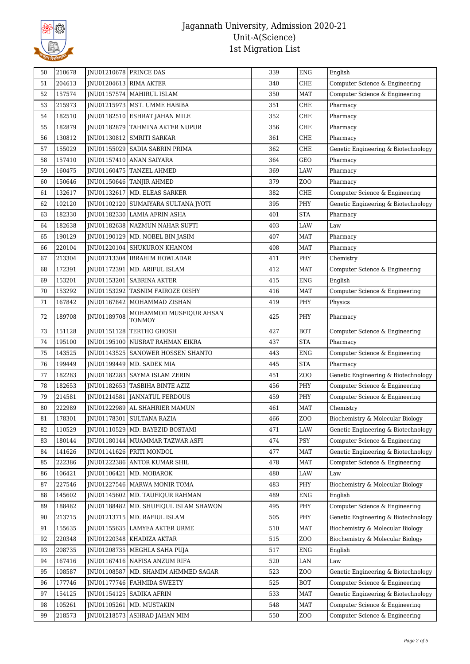

| 204613<br>JNU01204613 RIMA AKTER<br>CHE<br>51<br>340<br>Computer Science & Engineering<br>157574<br>JNU01157574   MAHIRUL ISLAM<br>MAT<br>Computer Science & Engineering<br>52<br>350<br>215973<br>CHE<br>53<br>JNU01215973   MST. UMME HABIBA<br>351<br>Pharmacy<br><b>CHE</b><br>54<br>182510<br>JNU01182510 ESHRAT JAHAN MILE<br>352<br>Pharmacy<br>182879<br>CHE<br>55<br>JNU01182879 TAHMINA AKTER NUPUR<br>356<br>Pharmacy<br>130812<br>JNU01130812 SMRITI SARKAR<br>CHE<br>56<br>361<br>Pharmacy<br>155029<br>57<br>INU01155029 SADIA SABRIN PRIMA<br>362<br>CHE<br>Genetic Engineering & Biotechnology<br>58<br>157410<br>JNU01157410 ANAN SAIYARA<br>GEO<br>364<br>Pharmacy<br>160475<br>59<br>INU01160475 TANZEL AHMED<br>369<br>LAW<br>Pharmacy<br>150646<br>Z <sub>0</sub><br>60<br>JNU01150646   TANJIR AHMED<br>379<br>Pharmacy<br>132617<br>JNU01132617 MD. ELEAS SARKER<br>CHE<br>382<br>Computer Science & Engineering<br>61<br>102120<br>PHY<br>62<br>JNU01102120   SUMAIYARA SULTANA JYOTI<br>395<br>Genetic Engineering & Biotechnology<br>182330<br><b>STA</b><br>63<br>JNU01182330 LAMIA AFRIN ASHA<br>401<br>Pharmacy<br>182638<br>INU01182638 NAZMUN NAHAR SUPTI<br>LAW<br>64<br>403<br>Law<br>190129<br>407<br><b>MAT</b><br>65<br>JNU01190129   MD. NOBEL BIN JASIM<br>Pharmacy<br>220104<br>66<br>JNU01220104 SHUKURON KHANOM<br>408<br><b>MAT</b><br>Pharmacy<br>213304<br>PHY<br>67<br>JNU01213304   IBRAHIM HOWLADAR<br>411<br>Chemistry<br>172391<br>JNU01172391   MD. ARIFUL ISLAM<br>412<br><b>MAT</b><br>Computer Science & Engineering<br>68<br>153201<br>JNU01153201   SABRINA AKTER<br><b>ENG</b><br>69<br>415<br>English<br>153292<br>JNU01153292 TASNIM FAIROZE OISHY<br>MAT<br>70<br>416<br>Computer Science & Engineering<br>167842<br>PHY<br>71<br>JNU01167842   MOHAMMAD ZISHAN<br>419<br>Physics<br>MOHAMMOD MUSFIQUR AHSAN<br>JNU01189708<br>PHY<br>72<br>189708<br>425<br>Pharmacy<br><b>TONMOY</b><br>151128<br>427<br><b>BOT</b><br>73<br>JNU01151128   TERTHO GHOSH<br>Computer Science & Engineering<br><b>STA</b><br>74<br>195100<br>JNU01195100 NUSRAT RAHMAN EIKRA<br>437<br>Pharmacy<br>143525<br><b>ENG</b><br>75<br>JNU01143525   SANOWER HOSSEN SHANTO<br>443<br>Computer Science & Engineering<br><b>STA</b><br>199449<br>76<br>JNU01199449   MD. SADEK MIA<br>445<br>Pharmacy<br>77<br>182283<br>Z <sub>0</sub><br>Genetic Engineering & Biotechnology<br>JNU01182283   SAYMA ISLAM ZERIN<br>451<br>PHY<br>Computer Science & Engineering<br>78<br>182653<br>JNU01182653 TASBIHA BINTE AZIZ<br>456<br>PHY<br>79<br>214581<br>JNU01214581 JANNATUL FERDOUS<br>459<br>Computer Science & Engineering<br>80<br>222989<br>JNU01222989 AL SHAHRIER MAMUN<br><b>MAT</b><br>461<br>Chemistry<br>JNU01178301 SULTANA RAZIA<br>81<br>178301<br>ZOO<br>466<br>Biochemistry & Molecular Biology<br>110529<br>LAW<br>Genetic Engineering & Biotechnology<br>82<br>INU01110529   MD. BAYEZID BOSTAMI<br>471<br>PSY<br>180144<br>Computer Science & Engineering<br>83<br>JNU01180144   MUAMMAR TAZWAR ASFI<br>474<br>141626<br>JNU01141626 PRITI MONDOL<br>477<br><b>MAT</b><br>Genetic Engineering & Biotechnology<br>84<br>222386<br>JNU01222386 ANTOR KUMAR SHIL<br>MAT<br>Computer Science & Engineering<br>85<br>478<br>106421<br>JNU01106421   MD. MOBAROK<br>480<br>LAW<br>86<br>Law<br>227546<br>JNU01227546   MARWA MONIR TOMA<br>483<br>PHY<br>Biochemistry & Molecular Biology<br>87<br>145602<br><b>ENG</b><br>88<br>JNU01145602   MD. TAUFIQUR RAHMAN<br>489<br>English<br>188482<br>JNU01188482   MD. SHUFIQUL ISLAM SHAWON<br>495<br>PHY<br>Computer Science & Engineering<br>89<br>213715<br>JNU01213715   MD. RAFIUL ISLAM<br>PHY<br>Genetic Engineering & Biotechnology<br>90<br>505<br>155635<br>Biochemistry & Molecular Biology<br>JNU01155635 LAMYEA AKTER URME<br>510<br><b>MAT</b><br>91<br>Z <sub>0</sub><br>220348<br>JNU01220348   KHADIZA AKTAR<br>92<br>515<br>Biochemistry & Molecular Biology<br>208735<br>JNU01208735   MEGHLA SAHA PUJA<br>517<br><b>ENG</b><br>93<br>English<br>94<br>167416<br>JNU01167416   NAFISA ANZUM RIFA<br>520<br>LAN<br>Law<br>95<br>108587<br>Z <sub>O</sub> O<br>Genetic Engineering & Biotechnology<br>JNU01108587   MD. SHAMIM AHMMED SAGAR<br>523<br>177746<br><b>BOT</b><br>Computer Science & Engineering<br>96<br>JNU01177746   FAHMIDA SWEETY<br>525<br>97<br>154125<br>JNU01154125   SADIKA AFRIN<br><b>MAT</b><br>Genetic Engineering & Biotechnology<br>533<br><b>MAT</b><br>Computer Science & Engineering<br>98<br>105261<br>JNU01105261   MD. MUSTAKIN<br>548<br>218573<br>JNU01218573 ASHRAD JAHAN MIM<br>Z <sub>O</sub> O<br>Computer Science & Engineering<br>99<br>550 | 50 | 210678 | JNU01210678 PRINCE DAS | 339 | <b>ENG</b> | English |
|---------------------------------------------------------------------------------------------------------------------------------------------------------------------------------------------------------------------------------------------------------------------------------------------------------------------------------------------------------------------------------------------------------------------------------------------------------------------------------------------------------------------------------------------------------------------------------------------------------------------------------------------------------------------------------------------------------------------------------------------------------------------------------------------------------------------------------------------------------------------------------------------------------------------------------------------------------------------------------------------------------------------------------------------------------------------------------------------------------------------------------------------------------------------------------------------------------------------------------------------------------------------------------------------------------------------------------------------------------------------------------------------------------------------------------------------------------------------------------------------------------------------------------------------------------------------------------------------------------------------------------------------------------------------------------------------------------------------------------------------------------------------------------------------------------------------------------------------------------------------------------------------------------------------------------------------------------------------------------------------------------------------------------------------------------------------------------------------------------------------------------------------------------------------------------------------------------------------------------------------------------------------------------------------------------------------------------------------------------------------------------------------------------------------------------------------------------------------------------------------------------------------------------------------------------------------------------------------------------------------------------------------------------------------------------------------------------------------------------------------------------------------------------------------------------------------------------------------------------------------------------------------------------------------------------------------------------------------------------------------------------------------------------------------------------------------------------------------------------------------------------------------------------------------------------------------------------------------------------------------------------------------------------------------------------------------------------------------------------------------------------------------------------------------------------------------------------------------------------------------------------------------------------------------------------------------------------------------------------------------------------------------------------------------------------------------------------------------------------------------------------------------------------------------------------------------------------------------------------------------------------------------------------------------------------------------------------------------------------------------------------------------------------------------------------------------------------------------------------------------------------------------------------------------------------------------------------------------------------------------------------------------------------------------------------------------------------------------------------------------------------------------------------------------------------------------------------------------------------------------------------------------------------------------------------------------------------------------------------------------------------------------------------------------------------------------------|----|--------|------------------------|-----|------------|---------|
|                                                                                                                                                                                                                                                                                                                                                                                                                                                                                                                                                                                                                                                                                                                                                                                                                                                                                                                                                                                                                                                                                                                                                                                                                                                                                                                                                                                                                                                                                                                                                                                                                                                                                                                                                                                                                                                                                                                                                                                                                                                                                                                                                                                                                                                                                                                                                                                                                                                                                                                                                                                                                                                                                                                                                                                                                                                                                                                                                                                                                                                                                                                                                                                                                                                                                                                                                                                                                                                                                                                                                                                                                                                                                                                                                                                                                                                                                                                                                                                                                                                                                                                                                                                                                                                                                                                                                                                                                                                                                                                                                                                                                                                                                                   |    |        |                        |     |            |         |
|                                                                                                                                                                                                                                                                                                                                                                                                                                                                                                                                                                                                                                                                                                                                                                                                                                                                                                                                                                                                                                                                                                                                                                                                                                                                                                                                                                                                                                                                                                                                                                                                                                                                                                                                                                                                                                                                                                                                                                                                                                                                                                                                                                                                                                                                                                                                                                                                                                                                                                                                                                                                                                                                                                                                                                                                                                                                                                                                                                                                                                                                                                                                                                                                                                                                                                                                                                                                                                                                                                                                                                                                                                                                                                                                                                                                                                                                                                                                                                                                                                                                                                                                                                                                                                                                                                                                                                                                                                                                                                                                                                                                                                                                                                   |    |        |                        |     |            |         |
|                                                                                                                                                                                                                                                                                                                                                                                                                                                                                                                                                                                                                                                                                                                                                                                                                                                                                                                                                                                                                                                                                                                                                                                                                                                                                                                                                                                                                                                                                                                                                                                                                                                                                                                                                                                                                                                                                                                                                                                                                                                                                                                                                                                                                                                                                                                                                                                                                                                                                                                                                                                                                                                                                                                                                                                                                                                                                                                                                                                                                                                                                                                                                                                                                                                                                                                                                                                                                                                                                                                                                                                                                                                                                                                                                                                                                                                                                                                                                                                                                                                                                                                                                                                                                                                                                                                                                                                                                                                                                                                                                                                                                                                                                                   |    |        |                        |     |            |         |
|                                                                                                                                                                                                                                                                                                                                                                                                                                                                                                                                                                                                                                                                                                                                                                                                                                                                                                                                                                                                                                                                                                                                                                                                                                                                                                                                                                                                                                                                                                                                                                                                                                                                                                                                                                                                                                                                                                                                                                                                                                                                                                                                                                                                                                                                                                                                                                                                                                                                                                                                                                                                                                                                                                                                                                                                                                                                                                                                                                                                                                                                                                                                                                                                                                                                                                                                                                                                                                                                                                                                                                                                                                                                                                                                                                                                                                                                                                                                                                                                                                                                                                                                                                                                                                                                                                                                                                                                                                                                                                                                                                                                                                                                                                   |    |        |                        |     |            |         |
|                                                                                                                                                                                                                                                                                                                                                                                                                                                                                                                                                                                                                                                                                                                                                                                                                                                                                                                                                                                                                                                                                                                                                                                                                                                                                                                                                                                                                                                                                                                                                                                                                                                                                                                                                                                                                                                                                                                                                                                                                                                                                                                                                                                                                                                                                                                                                                                                                                                                                                                                                                                                                                                                                                                                                                                                                                                                                                                                                                                                                                                                                                                                                                                                                                                                                                                                                                                                                                                                                                                                                                                                                                                                                                                                                                                                                                                                                                                                                                                                                                                                                                                                                                                                                                                                                                                                                                                                                                                                                                                                                                                                                                                                                                   |    |        |                        |     |            |         |
|                                                                                                                                                                                                                                                                                                                                                                                                                                                                                                                                                                                                                                                                                                                                                                                                                                                                                                                                                                                                                                                                                                                                                                                                                                                                                                                                                                                                                                                                                                                                                                                                                                                                                                                                                                                                                                                                                                                                                                                                                                                                                                                                                                                                                                                                                                                                                                                                                                                                                                                                                                                                                                                                                                                                                                                                                                                                                                                                                                                                                                                                                                                                                                                                                                                                                                                                                                                                                                                                                                                                                                                                                                                                                                                                                                                                                                                                                                                                                                                                                                                                                                                                                                                                                                                                                                                                                                                                                                                                                                                                                                                                                                                                                                   |    |        |                        |     |            |         |
|                                                                                                                                                                                                                                                                                                                                                                                                                                                                                                                                                                                                                                                                                                                                                                                                                                                                                                                                                                                                                                                                                                                                                                                                                                                                                                                                                                                                                                                                                                                                                                                                                                                                                                                                                                                                                                                                                                                                                                                                                                                                                                                                                                                                                                                                                                                                                                                                                                                                                                                                                                                                                                                                                                                                                                                                                                                                                                                                                                                                                                                                                                                                                                                                                                                                                                                                                                                                                                                                                                                                                                                                                                                                                                                                                                                                                                                                                                                                                                                                                                                                                                                                                                                                                                                                                                                                                                                                                                                                                                                                                                                                                                                                                                   |    |        |                        |     |            |         |
|                                                                                                                                                                                                                                                                                                                                                                                                                                                                                                                                                                                                                                                                                                                                                                                                                                                                                                                                                                                                                                                                                                                                                                                                                                                                                                                                                                                                                                                                                                                                                                                                                                                                                                                                                                                                                                                                                                                                                                                                                                                                                                                                                                                                                                                                                                                                                                                                                                                                                                                                                                                                                                                                                                                                                                                                                                                                                                                                                                                                                                                                                                                                                                                                                                                                                                                                                                                                                                                                                                                                                                                                                                                                                                                                                                                                                                                                                                                                                                                                                                                                                                                                                                                                                                                                                                                                                                                                                                                                                                                                                                                                                                                                                                   |    |        |                        |     |            |         |
|                                                                                                                                                                                                                                                                                                                                                                                                                                                                                                                                                                                                                                                                                                                                                                                                                                                                                                                                                                                                                                                                                                                                                                                                                                                                                                                                                                                                                                                                                                                                                                                                                                                                                                                                                                                                                                                                                                                                                                                                                                                                                                                                                                                                                                                                                                                                                                                                                                                                                                                                                                                                                                                                                                                                                                                                                                                                                                                                                                                                                                                                                                                                                                                                                                                                                                                                                                                                                                                                                                                                                                                                                                                                                                                                                                                                                                                                                                                                                                                                                                                                                                                                                                                                                                                                                                                                                                                                                                                                                                                                                                                                                                                                                                   |    |        |                        |     |            |         |
|                                                                                                                                                                                                                                                                                                                                                                                                                                                                                                                                                                                                                                                                                                                                                                                                                                                                                                                                                                                                                                                                                                                                                                                                                                                                                                                                                                                                                                                                                                                                                                                                                                                                                                                                                                                                                                                                                                                                                                                                                                                                                                                                                                                                                                                                                                                                                                                                                                                                                                                                                                                                                                                                                                                                                                                                                                                                                                                                                                                                                                                                                                                                                                                                                                                                                                                                                                                                                                                                                                                                                                                                                                                                                                                                                                                                                                                                                                                                                                                                                                                                                                                                                                                                                                                                                                                                                                                                                                                                                                                                                                                                                                                                                                   |    |        |                        |     |            |         |
|                                                                                                                                                                                                                                                                                                                                                                                                                                                                                                                                                                                                                                                                                                                                                                                                                                                                                                                                                                                                                                                                                                                                                                                                                                                                                                                                                                                                                                                                                                                                                                                                                                                                                                                                                                                                                                                                                                                                                                                                                                                                                                                                                                                                                                                                                                                                                                                                                                                                                                                                                                                                                                                                                                                                                                                                                                                                                                                                                                                                                                                                                                                                                                                                                                                                                                                                                                                                                                                                                                                                                                                                                                                                                                                                                                                                                                                                                                                                                                                                                                                                                                                                                                                                                                                                                                                                                                                                                                                                                                                                                                                                                                                                                                   |    |        |                        |     |            |         |
|                                                                                                                                                                                                                                                                                                                                                                                                                                                                                                                                                                                                                                                                                                                                                                                                                                                                                                                                                                                                                                                                                                                                                                                                                                                                                                                                                                                                                                                                                                                                                                                                                                                                                                                                                                                                                                                                                                                                                                                                                                                                                                                                                                                                                                                                                                                                                                                                                                                                                                                                                                                                                                                                                                                                                                                                                                                                                                                                                                                                                                                                                                                                                                                                                                                                                                                                                                                                                                                                                                                                                                                                                                                                                                                                                                                                                                                                                                                                                                                                                                                                                                                                                                                                                                                                                                                                                                                                                                                                                                                                                                                                                                                                                                   |    |        |                        |     |            |         |
|                                                                                                                                                                                                                                                                                                                                                                                                                                                                                                                                                                                                                                                                                                                                                                                                                                                                                                                                                                                                                                                                                                                                                                                                                                                                                                                                                                                                                                                                                                                                                                                                                                                                                                                                                                                                                                                                                                                                                                                                                                                                                                                                                                                                                                                                                                                                                                                                                                                                                                                                                                                                                                                                                                                                                                                                                                                                                                                                                                                                                                                                                                                                                                                                                                                                                                                                                                                                                                                                                                                                                                                                                                                                                                                                                                                                                                                                                                                                                                                                                                                                                                                                                                                                                                                                                                                                                                                                                                                                                                                                                                                                                                                                                                   |    |        |                        |     |            |         |
|                                                                                                                                                                                                                                                                                                                                                                                                                                                                                                                                                                                                                                                                                                                                                                                                                                                                                                                                                                                                                                                                                                                                                                                                                                                                                                                                                                                                                                                                                                                                                                                                                                                                                                                                                                                                                                                                                                                                                                                                                                                                                                                                                                                                                                                                                                                                                                                                                                                                                                                                                                                                                                                                                                                                                                                                                                                                                                                                                                                                                                                                                                                                                                                                                                                                                                                                                                                                                                                                                                                                                                                                                                                                                                                                                                                                                                                                                                                                                                                                                                                                                                                                                                                                                                                                                                                                                                                                                                                                                                                                                                                                                                                                                                   |    |        |                        |     |            |         |
|                                                                                                                                                                                                                                                                                                                                                                                                                                                                                                                                                                                                                                                                                                                                                                                                                                                                                                                                                                                                                                                                                                                                                                                                                                                                                                                                                                                                                                                                                                                                                                                                                                                                                                                                                                                                                                                                                                                                                                                                                                                                                                                                                                                                                                                                                                                                                                                                                                                                                                                                                                                                                                                                                                                                                                                                                                                                                                                                                                                                                                                                                                                                                                                                                                                                                                                                                                                                                                                                                                                                                                                                                                                                                                                                                                                                                                                                                                                                                                                                                                                                                                                                                                                                                                                                                                                                                                                                                                                                                                                                                                                                                                                                                                   |    |        |                        |     |            |         |
|                                                                                                                                                                                                                                                                                                                                                                                                                                                                                                                                                                                                                                                                                                                                                                                                                                                                                                                                                                                                                                                                                                                                                                                                                                                                                                                                                                                                                                                                                                                                                                                                                                                                                                                                                                                                                                                                                                                                                                                                                                                                                                                                                                                                                                                                                                                                                                                                                                                                                                                                                                                                                                                                                                                                                                                                                                                                                                                                                                                                                                                                                                                                                                                                                                                                                                                                                                                                                                                                                                                                                                                                                                                                                                                                                                                                                                                                                                                                                                                                                                                                                                                                                                                                                                                                                                                                                                                                                                                                                                                                                                                                                                                                                                   |    |        |                        |     |            |         |
|                                                                                                                                                                                                                                                                                                                                                                                                                                                                                                                                                                                                                                                                                                                                                                                                                                                                                                                                                                                                                                                                                                                                                                                                                                                                                                                                                                                                                                                                                                                                                                                                                                                                                                                                                                                                                                                                                                                                                                                                                                                                                                                                                                                                                                                                                                                                                                                                                                                                                                                                                                                                                                                                                                                                                                                                                                                                                                                                                                                                                                                                                                                                                                                                                                                                                                                                                                                                                                                                                                                                                                                                                                                                                                                                                                                                                                                                                                                                                                                                                                                                                                                                                                                                                                                                                                                                                                                                                                                                                                                                                                                                                                                                                                   |    |        |                        |     |            |         |
|                                                                                                                                                                                                                                                                                                                                                                                                                                                                                                                                                                                                                                                                                                                                                                                                                                                                                                                                                                                                                                                                                                                                                                                                                                                                                                                                                                                                                                                                                                                                                                                                                                                                                                                                                                                                                                                                                                                                                                                                                                                                                                                                                                                                                                                                                                                                                                                                                                                                                                                                                                                                                                                                                                                                                                                                                                                                                                                                                                                                                                                                                                                                                                                                                                                                                                                                                                                                                                                                                                                                                                                                                                                                                                                                                                                                                                                                                                                                                                                                                                                                                                                                                                                                                                                                                                                                                                                                                                                                                                                                                                                                                                                                                                   |    |        |                        |     |            |         |
|                                                                                                                                                                                                                                                                                                                                                                                                                                                                                                                                                                                                                                                                                                                                                                                                                                                                                                                                                                                                                                                                                                                                                                                                                                                                                                                                                                                                                                                                                                                                                                                                                                                                                                                                                                                                                                                                                                                                                                                                                                                                                                                                                                                                                                                                                                                                                                                                                                                                                                                                                                                                                                                                                                                                                                                                                                                                                                                                                                                                                                                                                                                                                                                                                                                                                                                                                                                                                                                                                                                                                                                                                                                                                                                                                                                                                                                                                                                                                                                                                                                                                                                                                                                                                                                                                                                                                                                                                                                                                                                                                                                                                                                                                                   |    |        |                        |     |            |         |
|                                                                                                                                                                                                                                                                                                                                                                                                                                                                                                                                                                                                                                                                                                                                                                                                                                                                                                                                                                                                                                                                                                                                                                                                                                                                                                                                                                                                                                                                                                                                                                                                                                                                                                                                                                                                                                                                                                                                                                                                                                                                                                                                                                                                                                                                                                                                                                                                                                                                                                                                                                                                                                                                                                                                                                                                                                                                                                                                                                                                                                                                                                                                                                                                                                                                                                                                                                                                                                                                                                                                                                                                                                                                                                                                                                                                                                                                                                                                                                                                                                                                                                                                                                                                                                                                                                                                                                                                                                                                                                                                                                                                                                                                                                   |    |        |                        |     |            |         |
|                                                                                                                                                                                                                                                                                                                                                                                                                                                                                                                                                                                                                                                                                                                                                                                                                                                                                                                                                                                                                                                                                                                                                                                                                                                                                                                                                                                                                                                                                                                                                                                                                                                                                                                                                                                                                                                                                                                                                                                                                                                                                                                                                                                                                                                                                                                                                                                                                                                                                                                                                                                                                                                                                                                                                                                                                                                                                                                                                                                                                                                                                                                                                                                                                                                                                                                                                                                                                                                                                                                                                                                                                                                                                                                                                                                                                                                                                                                                                                                                                                                                                                                                                                                                                                                                                                                                                                                                                                                                                                                                                                                                                                                                                                   |    |        |                        |     |            |         |
|                                                                                                                                                                                                                                                                                                                                                                                                                                                                                                                                                                                                                                                                                                                                                                                                                                                                                                                                                                                                                                                                                                                                                                                                                                                                                                                                                                                                                                                                                                                                                                                                                                                                                                                                                                                                                                                                                                                                                                                                                                                                                                                                                                                                                                                                                                                                                                                                                                                                                                                                                                                                                                                                                                                                                                                                                                                                                                                                                                                                                                                                                                                                                                                                                                                                                                                                                                                                                                                                                                                                                                                                                                                                                                                                                                                                                                                                                                                                                                                                                                                                                                                                                                                                                                                                                                                                                                                                                                                                                                                                                                                                                                                                                                   |    |        |                        |     |            |         |
|                                                                                                                                                                                                                                                                                                                                                                                                                                                                                                                                                                                                                                                                                                                                                                                                                                                                                                                                                                                                                                                                                                                                                                                                                                                                                                                                                                                                                                                                                                                                                                                                                                                                                                                                                                                                                                                                                                                                                                                                                                                                                                                                                                                                                                                                                                                                                                                                                                                                                                                                                                                                                                                                                                                                                                                                                                                                                                                                                                                                                                                                                                                                                                                                                                                                                                                                                                                                                                                                                                                                                                                                                                                                                                                                                                                                                                                                                                                                                                                                                                                                                                                                                                                                                                                                                                                                                                                                                                                                                                                                                                                                                                                                                                   |    |        |                        |     |            |         |
|                                                                                                                                                                                                                                                                                                                                                                                                                                                                                                                                                                                                                                                                                                                                                                                                                                                                                                                                                                                                                                                                                                                                                                                                                                                                                                                                                                                                                                                                                                                                                                                                                                                                                                                                                                                                                                                                                                                                                                                                                                                                                                                                                                                                                                                                                                                                                                                                                                                                                                                                                                                                                                                                                                                                                                                                                                                                                                                                                                                                                                                                                                                                                                                                                                                                                                                                                                                                                                                                                                                                                                                                                                                                                                                                                                                                                                                                                                                                                                                                                                                                                                                                                                                                                                                                                                                                                                                                                                                                                                                                                                                                                                                                                                   |    |        |                        |     |            |         |
|                                                                                                                                                                                                                                                                                                                                                                                                                                                                                                                                                                                                                                                                                                                                                                                                                                                                                                                                                                                                                                                                                                                                                                                                                                                                                                                                                                                                                                                                                                                                                                                                                                                                                                                                                                                                                                                                                                                                                                                                                                                                                                                                                                                                                                                                                                                                                                                                                                                                                                                                                                                                                                                                                                                                                                                                                                                                                                                                                                                                                                                                                                                                                                                                                                                                                                                                                                                                                                                                                                                                                                                                                                                                                                                                                                                                                                                                                                                                                                                                                                                                                                                                                                                                                                                                                                                                                                                                                                                                                                                                                                                                                                                                                                   |    |        |                        |     |            |         |
|                                                                                                                                                                                                                                                                                                                                                                                                                                                                                                                                                                                                                                                                                                                                                                                                                                                                                                                                                                                                                                                                                                                                                                                                                                                                                                                                                                                                                                                                                                                                                                                                                                                                                                                                                                                                                                                                                                                                                                                                                                                                                                                                                                                                                                                                                                                                                                                                                                                                                                                                                                                                                                                                                                                                                                                                                                                                                                                                                                                                                                                                                                                                                                                                                                                                                                                                                                                                                                                                                                                                                                                                                                                                                                                                                                                                                                                                                                                                                                                                                                                                                                                                                                                                                                                                                                                                                                                                                                                                                                                                                                                                                                                                                                   |    |        |                        |     |            |         |
|                                                                                                                                                                                                                                                                                                                                                                                                                                                                                                                                                                                                                                                                                                                                                                                                                                                                                                                                                                                                                                                                                                                                                                                                                                                                                                                                                                                                                                                                                                                                                                                                                                                                                                                                                                                                                                                                                                                                                                                                                                                                                                                                                                                                                                                                                                                                                                                                                                                                                                                                                                                                                                                                                                                                                                                                                                                                                                                                                                                                                                                                                                                                                                                                                                                                                                                                                                                                                                                                                                                                                                                                                                                                                                                                                                                                                                                                                                                                                                                                                                                                                                                                                                                                                                                                                                                                                                                                                                                                                                                                                                                                                                                                                                   |    |        |                        |     |            |         |
|                                                                                                                                                                                                                                                                                                                                                                                                                                                                                                                                                                                                                                                                                                                                                                                                                                                                                                                                                                                                                                                                                                                                                                                                                                                                                                                                                                                                                                                                                                                                                                                                                                                                                                                                                                                                                                                                                                                                                                                                                                                                                                                                                                                                                                                                                                                                                                                                                                                                                                                                                                                                                                                                                                                                                                                                                                                                                                                                                                                                                                                                                                                                                                                                                                                                                                                                                                                                                                                                                                                                                                                                                                                                                                                                                                                                                                                                                                                                                                                                                                                                                                                                                                                                                                                                                                                                                                                                                                                                                                                                                                                                                                                                                                   |    |        |                        |     |            |         |
|                                                                                                                                                                                                                                                                                                                                                                                                                                                                                                                                                                                                                                                                                                                                                                                                                                                                                                                                                                                                                                                                                                                                                                                                                                                                                                                                                                                                                                                                                                                                                                                                                                                                                                                                                                                                                                                                                                                                                                                                                                                                                                                                                                                                                                                                                                                                                                                                                                                                                                                                                                                                                                                                                                                                                                                                                                                                                                                                                                                                                                                                                                                                                                                                                                                                                                                                                                                                                                                                                                                                                                                                                                                                                                                                                                                                                                                                                                                                                                                                                                                                                                                                                                                                                                                                                                                                                                                                                                                                                                                                                                                                                                                                                                   |    |        |                        |     |            |         |
|                                                                                                                                                                                                                                                                                                                                                                                                                                                                                                                                                                                                                                                                                                                                                                                                                                                                                                                                                                                                                                                                                                                                                                                                                                                                                                                                                                                                                                                                                                                                                                                                                                                                                                                                                                                                                                                                                                                                                                                                                                                                                                                                                                                                                                                                                                                                                                                                                                                                                                                                                                                                                                                                                                                                                                                                                                                                                                                                                                                                                                                                                                                                                                                                                                                                                                                                                                                                                                                                                                                                                                                                                                                                                                                                                                                                                                                                                                                                                                                                                                                                                                                                                                                                                                                                                                                                                                                                                                                                                                                                                                                                                                                                                                   |    |        |                        |     |            |         |
|                                                                                                                                                                                                                                                                                                                                                                                                                                                                                                                                                                                                                                                                                                                                                                                                                                                                                                                                                                                                                                                                                                                                                                                                                                                                                                                                                                                                                                                                                                                                                                                                                                                                                                                                                                                                                                                                                                                                                                                                                                                                                                                                                                                                                                                                                                                                                                                                                                                                                                                                                                                                                                                                                                                                                                                                                                                                                                                                                                                                                                                                                                                                                                                                                                                                                                                                                                                                                                                                                                                                                                                                                                                                                                                                                                                                                                                                                                                                                                                                                                                                                                                                                                                                                                                                                                                                                                                                                                                                                                                                                                                                                                                                                                   |    |        |                        |     |            |         |
|                                                                                                                                                                                                                                                                                                                                                                                                                                                                                                                                                                                                                                                                                                                                                                                                                                                                                                                                                                                                                                                                                                                                                                                                                                                                                                                                                                                                                                                                                                                                                                                                                                                                                                                                                                                                                                                                                                                                                                                                                                                                                                                                                                                                                                                                                                                                                                                                                                                                                                                                                                                                                                                                                                                                                                                                                                                                                                                                                                                                                                                                                                                                                                                                                                                                                                                                                                                                                                                                                                                                                                                                                                                                                                                                                                                                                                                                                                                                                                                                                                                                                                                                                                                                                                                                                                                                                                                                                                                                                                                                                                                                                                                                                                   |    |        |                        |     |            |         |
|                                                                                                                                                                                                                                                                                                                                                                                                                                                                                                                                                                                                                                                                                                                                                                                                                                                                                                                                                                                                                                                                                                                                                                                                                                                                                                                                                                                                                                                                                                                                                                                                                                                                                                                                                                                                                                                                                                                                                                                                                                                                                                                                                                                                                                                                                                                                                                                                                                                                                                                                                                                                                                                                                                                                                                                                                                                                                                                                                                                                                                                                                                                                                                                                                                                                                                                                                                                                                                                                                                                                                                                                                                                                                                                                                                                                                                                                                                                                                                                                                                                                                                                                                                                                                                                                                                                                                                                                                                                                                                                                                                                                                                                                                                   |    |        |                        |     |            |         |
|                                                                                                                                                                                                                                                                                                                                                                                                                                                                                                                                                                                                                                                                                                                                                                                                                                                                                                                                                                                                                                                                                                                                                                                                                                                                                                                                                                                                                                                                                                                                                                                                                                                                                                                                                                                                                                                                                                                                                                                                                                                                                                                                                                                                                                                                                                                                                                                                                                                                                                                                                                                                                                                                                                                                                                                                                                                                                                                                                                                                                                                                                                                                                                                                                                                                                                                                                                                                                                                                                                                                                                                                                                                                                                                                                                                                                                                                                                                                                                                                                                                                                                                                                                                                                                                                                                                                                                                                                                                                                                                                                                                                                                                                                                   |    |        |                        |     |            |         |
|                                                                                                                                                                                                                                                                                                                                                                                                                                                                                                                                                                                                                                                                                                                                                                                                                                                                                                                                                                                                                                                                                                                                                                                                                                                                                                                                                                                                                                                                                                                                                                                                                                                                                                                                                                                                                                                                                                                                                                                                                                                                                                                                                                                                                                                                                                                                                                                                                                                                                                                                                                                                                                                                                                                                                                                                                                                                                                                                                                                                                                                                                                                                                                                                                                                                                                                                                                                                                                                                                                                                                                                                                                                                                                                                                                                                                                                                                                                                                                                                                                                                                                                                                                                                                                                                                                                                                                                                                                                                                                                                                                                                                                                                                                   |    |        |                        |     |            |         |
|                                                                                                                                                                                                                                                                                                                                                                                                                                                                                                                                                                                                                                                                                                                                                                                                                                                                                                                                                                                                                                                                                                                                                                                                                                                                                                                                                                                                                                                                                                                                                                                                                                                                                                                                                                                                                                                                                                                                                                                                                                                                                                                                                                                                                                                                                                                                                                                                                                                                                                                                                                                                                                                                                                                                                                                                                                                                                                                                                                                                                                                                                                                                                                                                                                                                                                                                                                                                                                                                                                                                                                                                                                                                                                                                                                                                                                                                                                                                                                                                                                                                                                                                                                                                                                                                                                                                                                                                                                                                                                                                                                                                                                                                                                   |    |        |                        |     |            |         |
|                                                                                                                                                                                                                                                                                                                                                                                                                                                                                                                                                                                                                                                                                                                                                                                                                                                                                                                                                                                                                                                                                                                                                                                                                                                                                                                                                                                                                                                                                                                                                                                                                                                                                                                                                                                                                                                                                                                                                                                                                                                                                                                                                                                                                                                                                                                                                                                                                                                                                                                                                                                                                                                                                                                                                                                                                                                                                                                                                                                                                                                                                                                                                                                                                                                                                                                                                                                                                                                                                                                                                                                                                                                                                                                                                                                                                                                                                                                                                                                                                                                                                                                                                                                                                                                                                                                                                                                                                                                                                                                                                                                                                                                                                                   |    |        |                        |     |            |         |
|                                                                                                                                                                                                                                                                                                                                                                                                                                                                                                                                                                                                                                                                                                                                                                                                                                                                                                                                                                                                                                                                                                                                                                                                                                                                                                                                                                                                                                                                                                                                                                                                                                                                                                                                                                                                                                                                                                                                                                                                                                                                                                                                                                                                                                                                                                                                                                                                                                                                                                                                                                                                                                                                                                                                                                                                                                                                                                                                                                                                                                                                                                                                                                                                                                                                                                                                                                                                                                                                                                                                                                                                                                                                                                                                                                                                                                                                                                                                                                                                                                                                                                                                                                                                                                                                                                                                                                                                                                                                                                                                                                                                                                                                                                   |    |        |                        |     |            |         |
|                                                                                                                                                                                                                                                                                                                                                                                                                                                                                                                                                                                                                                                                                                                                                                                                                                                                                                                                                                                                                                                                                                                                                                                                                                                                                                                                                                                                                                                                                                                                                                                                                                                                                                                                                                                                                                                                                                                                                                                                                                                                                                                                                                                                                                                                                                                                                                                                                                                                                                                                                                                                                                                                                                                                                                                                                                                                                                                                                                                                                                                                                                                                                                                                                                                                                                                                                                                                                                                                                                                                                                                                                                                                                                                                                                                                                                                                                                                                                                                                                                                                                                                                                                                                                                                                                                                                                                                                                                                                                                                                                                                                                                                                                                   |    |        |                        |     |            |         |
|                                                                                                                                                                                                                                                                                                                                                                                                                                                                                                                                                                                                                                                                                                                                                                                                                                                                                                                                                                                                                                                                                                                                                                                                                                                                                                                                                                                                                                                                                                                                                                                                                                                                                                                                                                                                                                                                                                                                                                                                                                                                                                                                                                                                                                                                                                                                                                                                                                                                                                                                                                                                                                                                                                                                                                                                                                                                                                                                                                                                                                                                                                                                                                                                                                                                                                                                                                                                                                                                                                                                                                                                                                                                                                                                                                                                                                                                                                                                                                                                                                                                                                                                                                                                                                                                                                                                                                                                                                                                                                                                                                                                                                                                                                   |    |        |                        |     |            |         |
|                                                                                                                                                                                                                                                                                                                                                                                                                                                                                                                                                                                                                                                                                                                                                                                                                                                                                                                                                                                                                                                                                                                                                                                                                                                                                                                                                                                                                                                                                                                                                                                                                                                                                                                                                                                                                                                                                                                                                                                                                                                                                                                                                                                                                                                                                                                                                                                                                                                                                                                                                                                                                                                                                                                                                                                                                                                                                                                                                                                                                                                                                                                                                                                                                                                                                                                                                                                                                                                                                                                                                                                                                                                                                                                                                                                                                                                                                                                                                                                                                                                                                                                                                                                                                                                                                                                                                                                                                                                                                                                                                                                                                                                                                                   |    |        |                        |     |            |         |
|                                                                                                                                                                                                                                                                                                                                                                                                                                                                                                                                                                                                                                                                                                                                                                                                                                                                                                                                                                                                                                                                                                                                                                                                                                                                                                                                                                                                                                                                                                                                                                                                                                                                                                                                                                                                                                                                                                                                                                                                                                                                                                                                                                                                                                                                                                                                                                                                                                                                                                                                                                                                                                                                                                                                                                                                                                                                                                                                                                                                                                                                                                                                                                                                                                                                                                                                                                                                                                                                                                                                                                                                                                                                                                                                                                                                                                                                                                                                                                                                                                                                                                                                                                                                                                                                                                                                                                                                                                                                                                                                                                                                                                                                                                   |    |        |                        |     |            |         |
|                                                                                                                                                                                                                                                                                                                                                                                                                                                                                                                                                                                                                                                                                                                                                                                                                                                                                                                                                                                                                                                                                                                                                                                                                                                                                                                                                                                                                                                                                                                                                                                                                                                                                                                                                                                                                                                                                                                                                                                                                                                                                                                                                                                                                                                                                                                                                                                                                                                                                                                                                                                                                                                                                                                                                                                                                                                                                                                                                                                                                                                                                                                                                                                                                                                                                                                                                                                                                                                                                                                                                                                                                                                                                                                                                                                                                                                                                                                                                                                                                                                                                                                                                                                                                                                                                                                                                                                                                                                                                                                                                                                                                                                                                                   |    |        |                        |     |            |         |
|                                                                                                                                                                                                                                                                                                                                                                                                                                                                                                                                                                                                                                                                                                                                                                                                                                                                                                                                                                                                                                                                                                                                                                                                                                                                                                                                                                                                                                                                                                                                                                                                                                                                                                                                                                                                                                                                                                                                                                                                                                                                                                                                                                                                                                                                                                                                                                                                                                                                                                                                                                                                                                                                                                                                                                                                                                                                                                                                                                                                                                                                                                                                                                                                                                                                                                                                                                                                                                                                                                                                                                                                                                                                                                                                                                                                                                                                                                                                                                                                                                                                                                                                                                                                                                                                                                                                                                                                                                                                                                                                                                                                                                                                                                   |    |        |                        |     |            |         |
|                                                                                                                                                                                                                                                                                                                                                                                                                                                                                                                                                                                                                                                                                                                                                                                                                                                                                                                                                                                                                                                                                                                                                                                                                                                                                                                                                                                                                                                                                                                                                                                                                                                                                                                                                                                                                                                                                                                                                                                                                                                                                                                                                                                                                                                                                                                                                                                                                                                                                                                                                                                                                                                                                                                                                                                                                                                                                                                                                                                                                                                                                                                                                                                                                                                                                                                                                                                                                                                                                                                                                                                                                                                                                                                                                                                                                                                                                                                                                                                                                                                                                                                                                                                                                                                                                                                                                                                                                                                                                                                                                                                                                                                                                                   |    |        |                        |     |            |         |
|                                                                                                                                                                                                                                                                                                                                                                                                                                                                                                                                                                                                                                                                                                                                                                                                                                                                                                                                                                                                                                                                                                                                                                                                                                                                                                                                                                                                                                                                                                                                                                                                                                                                                                                                                                                                                                                                                                                                                                                                                                                                                                                                                                                                                                                                                                                                                                                                                                                                                                                                                                                                                                                                                                                                                                                                                                                                                                                                                                                                                                                                                                                                                                                                                                                                                                                                                                                                                                                                                                                                                                                                                                                                                                                                                                                                                                                                                                                                                                                                                                                                                                                                                                                                                                                                                                                                                                                                                                                                                                                                                                                                                                                                                                   |    |        |                        |     |            |         |
|                                                                                                                                                                                                                                                                                                                                                                                                                                                                                                                                                                                                                                                                                                                                                                                                                                                                                                                                                                                                                                                                                                                                                                                                                                                                                                                                                                                                                                                                                                                                                                                                                                                                                                                                                                                                                                                                                                                                                                                                                                                                                                                                                                                                                                                                                                                                                                                                                                                                                                                                                                                                                                                                                                                                                                                                                                                                                                                                                                                                                                                                                                                                                                                                                                                                                                                                                                                                                                                                                                                                                                                                                                                                                                                                                                                                                                                                                                                                                                                                                                                                                                                                                                                                                                                                                                                                                                                                                                                                                                                                                                                                                                                                                                   |    |        |                        |     |            |         |
|                                                                                                                                                                                                                                                                                                                                                                                                                                                                                                                                                                                                                                                                                                                                                                                                                                                                                                                                                                                                                                                                                                                                                                                                                                                                                                                                                                                                                                                                                                                                                                                                                                                                                                                                                                                                                                                                                                                                                                                                                                                                                                                                                                                                                                                                                                                                                                                                                                                                                                                                                                                                                                                                                                                                                                                                                                                                                                                                                                                                                                                                                                                                                                                                                                                                                                                                                                                                                                                                                                                                                                                                                                                                                                                                                                                                                                                                                                                                                                                                                                                                                                                                                                                                                                                                                                                                                                                                                                                                                                                                                                                                                                                                                                   |    |        |                        |     |            |         |
|                                                                                                                                                                                                                                                                                                                                                                                                                                                                                                                                                                                                                                                                                                                                                                                                                                                                                                                                                                                                                                                                                                                                                                                                                                                                                                                                                                                                                                                                                                                                                                                                                                                                                                                                                                                                                                                                                                                                                                                                                                                                                                                                                                                                                                                                                                                                                                                                                                                                                                                                                                                                                                                                                                                                                                                                                                                                                                                                                                                                                                                                                                                                                                                                                                                                                                                                                                                                                                                                                                                                                                                                                                                                                                                                                                                                                                                                                                                                                                                                                                                                                                                                                                                                                                                                                                                                                                                                                                                                                                                                                                                                                                                                                                   |    |        |                        |     |            |         |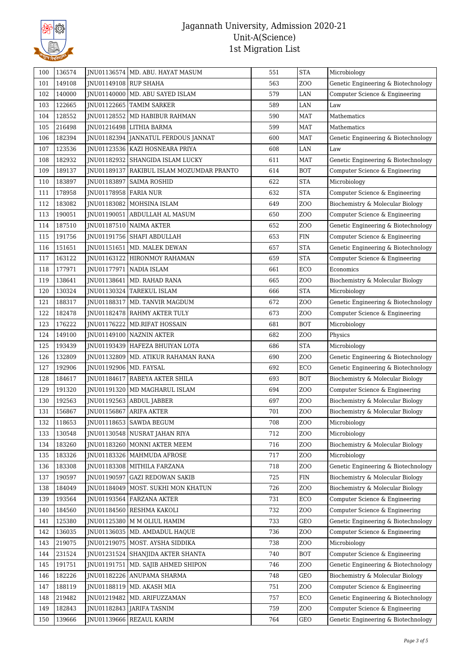

| 100 | 136574 |                          | JNU01136574   MD. ABU. HAYAT MASUM        | 551 | <b>STA</b>       | Microbiology                        |
|-----|--------|--------------------------|-------------------------------------------|-----|------------------|-------------------------------------|
| 101 | 149108 | JNU01149108 RUP SHAHA    |                                           | 563 | ZO <sub>O</sub>  | Genetic Engineering & Biotechnology |
| 102 | 140000 |                          | JNU01140000   MD. ABU SAYED ISLAM         | 579 | LAN              | Computer Science & Engineering      |
| 103 | 122665 |                          | JNU01122665 TAMIM SARKER                  | 589 | LAN              | Law                                 |
| 104 | 128552 |                          | INU01128552 MD HABIBUR RAHMAN             | 590 | <b>MAT</b>       | Mathematics                         |
| 105 | 216498 |                          | JNU01216498   LITHIA BARMA                | 599 | <b>MAT</b>       | Mathematics                         |
| 106 | 182394 |                          | JNU01182394   JANNATUL FERDOUS JANNAT     | 600 | <b>MAT</b>       | Genetic Engineering & Biotechnology |
| 107 | 123536 |                          | JNU01123536   KAZI HOSNEARA PRIYA         | 608 | LAN              | Law                                 |
| 108 | 182932 |                          | JNU01182932   SHANGIDA ISLAM LUCKY        | 611 | <b>MAT</b>       | Genetic Engineering & Biotechnology |
| 109 | 189137 |                          | JNU01189137 RAKIBUL ISLAM MOZUMDAR PRANTO | 614 | <b>BOT</b>       | Computer Science & Engineering      |
| 110 | 183897 | JNU01183897              | <b>SAIMA ROSHID</b>                       | 622 | <b>STA</b>       | Microbiology                        |
| 111 | 178958 | JNU01178958   FARIA NUR  |                                           | 632 | <b>STA</b>       | Computer Science & Engineering      |
| 112 | 183082 |                          | JNU01183082   MOHSINA ISLAM               | 649 | ZO <sub>O</sub>  | Biochemistry & Molecular Biology    |
| 113 | 190051 |                          | JNU01190051 ABDULLAH AL MASUM             | 650 | Z <sub>0</sub>   | Computer Science & Engineering      |
| 114 | 187510 |                          | JNU01187510 NAIMA AKTER                   | 652 | Z <sub>O</sub> O | Genetic Engineering & Biotechnology |
| 115 | 191756 |                          | JNU01191756   SHAFI ABDULLAH              | 653 | <b>FIN</b>       | Computer Science & Engineering      |
| 116 | 151651 | JNU01151651              | MD. MALEK DEWAN                           | 657 | <b>STA</b>       | Genetic Engineering & Biotechnology |
| 117 | 163122 |                          | JNU01163122   HIRONMOY RAHAMAN            | 659 | <b>STA</b>       | Computer Science & Engineering      |
| 118 | 177971 |                          | JNU01177971 NADIA ISLAM                   | 661 | ECO              | Economics                           |
| 119 | 138641 | JNU01138641              | MD. RAHAD RANA                            | 665 | Z <sub>O</sub> O | Biochemistry & Molecular Biology    |
| 120 | 130324 |                          | JNU01130324 TAREKUL ISLAM                 | 666 | <b>STA</b>       | Microbiology                        |
| 121 | 188317 |                          | JNU01188317   MD. TANVIR MAGDUM           | 672 | Z <sub>0</sub>   | Genetic Engineering & Biotechnology |
| 122 | 182478 |                          | JNU01182478 RAHMY AKTER TULY              | 673 | Z <sub>0</sub>   | Computer Science & Engineering      |
| 123 | 176222 |                          | JNU01176222   MD.RIFAT HOSSAIN            | 681 | <b>BOT</b>       | Microbiology                        |
| 124 | 149100 |                          | JNU01149100 NAZNIN AKTER                  | 682 | Z <sub>0</sub>   | Physics                             |
| 125 | 193439 |                          | JNU01193439   HAFEZA BHUIYAN LOTA         | 686 | <b>STA</b>       | Microbiology                        |
| 126 | 132809 |                          | JNU01132809   MD. ATIKUR RAHAMAN RANA     | 690 | ZO <sub>O</sub>  | Genetic Engineering & Biotechnology |
| 127 | 192906 | JNU01192906   MD. FAYSAL |                                           | 692 | ECO              | Genetic Engineering & Biotechnology |
| 128 | 184617 |                          | JNU01184617   RABEYA AKTER SHILA          | 693 | <b>BOT</b>       | Biochemistry & Molecular Biology    |
| 129 | 191320 | JNU01191320              | MD MAGHARUL ISLAM                         | 694 | Z <sub>0</sub>   | Computer Science & Engineering      |
| 130 | 192563 |                          | JNU01192563   ABDUL JABBER                | 697 | Z <sub>0</sub>   | Biochemistry & Molecular Biology    |
| 131 | 156867 |                          | INU01156867 ARIFA AKTER                   | 701 | <b>ZOO</b>       | Biochemistry & Molecular Biology    |
| 132 | 118653 |                          | JNU01118653   SAWDA BEGUM                 | 708 | Z <sub>0</sub>   | Microbiology                        |
| 133 | 130548 |                          | JNU01130548 NUSRAT JAHAN RIYA             | 712 | Z <sub>0</sub>   | Microbiology                        |
| 134 | 183260 |                          | JNU01183260   MONNI AKTER MEEM            | 716 | ZO <sub>O</sub>  | Biochemistry & Molecular Biology    |
| 135 | 183326 |                          | JNU01183326   MAHMUDA AFROSE              | 717 | Z <sub>0</sub>   | Microbiology                        |
| 136 | 183308 |                          | JNU01183308   MITHILA FARZANA             | 718 | Z <sub>O</sub> O | Genetic Engineering & Biotechnology |
| 137 | 190597 | JNU01190597              | <b>GAZI REDOWAN SAKIB</b>                 | 725 | FIN              | Biochemistry & Molecular Biology    |
| 138 | 184049 | JNU01184049              | MOST. SUKHI MON KHATUN                    | 726 | Z <sub>O</sub> O | Biochemistry & Molecular Biology    |
| 139 | 193564 |                          | JNU01193564 FARZANA AKTER                 | 731 | ECO              | Computer Science & Engineering      |
| 140 | 184560 |                          | JNU01184560 RESHMA KAKOLI                 | 732 | Z <sub>0</sub>   | Computer Science & Engineering      |
| 141 | 125380 |                          | JNU01125380   M M OLIUL HAMIM             | 733 | GEO              | Genetic Engineering & Biotechnology |
| 142 | 136035 | JNU01136035              | MD. AMDADUL HAQUE                         | 736 | ZO <sub>O</sub>  | Computer Science & Engineering      |
| 143 | 219075 |                          | JNU01219075   MOST. AYSHA SIDDIKA         | 738 | Z <sub>0</sub>   | Microbiology                        |
| 144 | 231524 |                          | JNU01231524   SHANJIDA AKTER SHANTA       | 740 | <b>BOT</b>       | Computer Science & Engineering      |
| 145 | 191751 | JNU01191751              | MD. SAJIB AHMED SHIPON                    | 746 | Z <sub>O</sub> O | Genetic Engineering & Biotechnology |
| 146 | 182226 |                          | JNU01182226 ANUPAMA SHARMA                | 748 | GEO              | Biochemistry & Molecular Biology    |
| 147 | 188119 |                          | JNU01188119   MD. AKASH MIA               | 751 | Z <sub>0</sub>   | Computer Science & Engineering      |
| 148 | 219482 | JNU01219482              | MD. ARIFUZZAMAN                           | 757 | ECO              | Genetic Engineering & Biotechnology |
| 149 | 182843 |                          | JNU01182843   JARIFA TASNIM               | 759 | Z <sub>0</sub>   | Computer Science & Engineering      |
| 150 | 139666 |                          | JNU01139666 REZAUL KARIM                  | 764 | GEO              | Genetic Engineering & Biotechnology |
|     |        |                          |                                           |     |                  |                                     |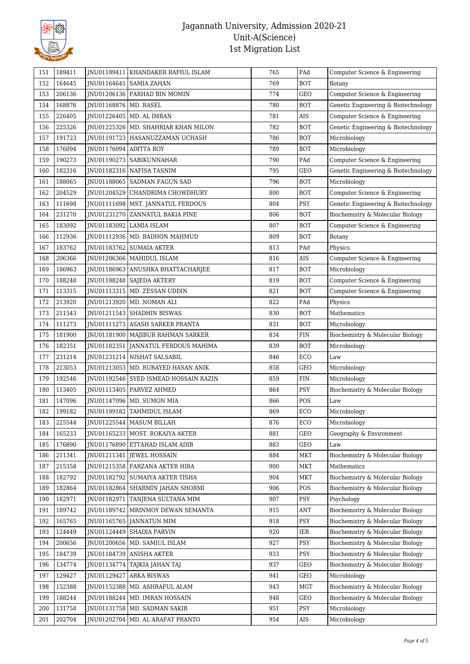

| 151 | 189411 |                        | JNU01189411 KHANDAKER RAFIUL ISLAM    | 765 | PAd        | Computer Science & Engineering      |
|-----|--------|------------------------|---------------------------------------|-----|------------|-------------------------------------|
| 152 | 164645 |                        | JNU01164645   SAMIA ZAHAN             | 769 | <b>BOT</b> | Botany                              |
| 153 | 206136 |                        | JNU01206136   FARHAD BIN MOMIN        | 774 | GEO        | Computer Science & Engineering      |
| 154 | 168876 | JNU01168876 MD. RASEL  |                                       | 780 | <b>BOT</b> | Genetic Engineering & Biotechnology |
| 155 | 226405 |                        | JNU01226405   MD. AL IMRAN            | 781 | $\rm AIS$  | Computer Science & Engineering      |
| 156 | 225326 |                        | JNU01225326   MD. SHAHRIAR KHAN MILON | 782 | <b>BOT</b> | Genetic Engineering & Biotechnology |
| 157 | 191723 |                        | JNU01191723   HASANUZZAMAN UCHASH     | 786 | <b>BOT</b> | Microbiology                        |
| 158 | 176094 | JNU01176094 ADITTA ROY |                                       | 789 | <b>BOT</b> | Microbiology                        |
| 159 | 190273 |                        | JNU01190273 SABIKUNNAHAR              | 790 | PAd        | Computer Science & Engineering      |
| 160 | 182316 |                        | JNU01182316 NAFISA TASNIM             | 795 | GEO        | Genetic Engineering & Biotechnology |
| 161 | 188065 |                        | JNU01188065   SADMAN FAGUN SAD        | 796 | <b>BOT</b> | Microbiology                        |
| 162 | 204529 |                        | JNU01204529 CHANDRIMA CHOWDHURY       | 800 | <b>BOT</b> | Computer Science & Engineering      |
| 163 | 111698 |                        | JNU01111698   MST. JANNATUL FERDOUS   | 804 | PSY        | Genetic Engineering & Biotechnology |
| 164 | 231270 |                        | JNU01231270 ZANNATUL BAKIA PINE       | 806 | <b>BOT</b> | Biochemistry & Molecular Biology    |
| 165 | 183092 |                        | JNU01183092   LAMIA ISLAM             | 807 | <b>BOT</b> | Computer Science & Engineering      |
| 166 | 112936 |                        | JNU01112936   MD. BADHON MAHMUD       | 809 | BOT        | Botany                              |
| 167 | 183762 |                        | JNU01183762   SUMAIA AKTER            | 813 | PAd        | Physics                             |
| 168 | 206366 |                        | JNU01206366   MAHIDUL ISLAM           | 816 | AIS        | Computer Science & Engineering      |
| 169 | 186963 |                        | JNU01186963   ANUSHKA BHATTACHARJEE   | 817 | <b>BOT</b> | Microbiology                        |
| 170 | 188248 |                        | JNU01188248 SAJEDA AKTERY             | 819 | <b>BOT</b> | Computer Science & Engineering      |
| 171 | 113315 |                        | JNU01113315   MD. ZESSAN UDDIN        | 821 | BOT        | Computer Science & Engineering      |
| 172 | 213920 |                        | JNU01213920   MD. NOMAN ALI           | 822 | PAd        | Physics                             |
| 173 | 211543 |                        | JNU01211543 SHADHIN BISWAS            | 830 | <b>BOT</b> | Mathematics                         |
| 174 | 111273 |                        | JNU01111273 ASASH SARKER PRANTA       | 831 | <b>BOT</b> | Microbiology                        |
| 175 | 181900 |                        | JNU01181900   MAJIBUR RAHMAN SARKER   | 834 | <b>FIN</b> | Biochemistry & Molecular Biology    |
| 176 | 182351 |                        | JNU01182351 JANNATUL FERDOUS MAHIMA   | 839 | <b>BOT</b> | Microbiology                        |
| 177 | 231214 |                        | JNU01231214 NISHAT SALSABIL           | 846 | ECO        | Law                                 |
| 178 | 213053 |                        | JNU01213053   MD. RUBAYED HASAN ANIK  | 858 | GEO        | Microbiology                        |
| 179 | 192546 |                        | JNU01192546 SYED ISMEAD HOSSAIN RAZIN | 859 | <b>FIN</b> | Microbiology                        |
| 180 | 113405 |                        | JNU01113405   PARVEZ AHMED            | 864 | PSY        | Biochemistry & Molecular Biology    |
| 181 | 147096 |                        | JNU01147096   MD. SUMON MIA           | 866 | POS        | Law                                 |
| 182 | 199182 |                        | JNU01199182 TAHMIDUL ISLAM            | 869 | ECO        | Microbiology                        |
| 183 | 225544 |                        | JNU01225544   MASUM BILLAH            | 876 | ECO        | Microbiology                        |
| 184 | 165233 |                        | JNU01165233   MOST. ROKAIYA AKTER     | 881 | GEO        | Geography & Environment             |
| 185 | 176890 |                        | <b>INU01176890 ETTAHAD ISLAM ADIB</b> | 883 | GEO        | Law                                 |
| 186 | 211341 |                        | JNU01211341 JEWEL HOSSAIN             | 884 | <b>MKT</b> | Biochemistry & Molecular Biology    |
| 187 | 215358 |                        | JNU01215358   FARZANA AKTER HIRA      | 900 | <b>MKT</b> | Mathematics                         |
| 188 | 182792 |                        | JNU01182792 SUMAIYA AKTER TISHA       | 904 | <b>MKT</b> | Biochemistry & Molecular Biology    |
| 189 | 182864 | INU01182864            | SHARMIN JAHAN SHORMI                  | 906 | POS        | Biochemistry & Molecular Biology    |
| 190 | 182971 |                        | INU01182971 TANJENA SULTANA MIM       | 907 | PSY        | Psychology                          |
| 191 | 189742 |                        | JNU01189742   MRINMOY DEWAN SEMANTA   | 915 | <b>ANT</b> | Biochemistry & Molecular Biology    |
| 192 | 165765 |                        | JNU01165765 JANNATUN MIM              | 918 | PSY        | Biochemistry & Molecular Biology    |
| 193 | 124449 |                        | JNU01124449 SHADIA PARVIN             | 920 | IER        | Biochemistry & Molecular Biology    |
| 194 | 200656 |                        | JNU01200656   MD. SAMIUL ISLAM        | 927 | PSY        | Biochemistry & Molecular Biology    |
| 195 | 184739 | JNU01184739            | <b>ANISHA AKTER</b>                   | 933 | PSY        | Biochemistry & Molecular Biology    |
| 196 | 134774 |                        | JNU01134774 TAJKIA JAHAN TAJ          | 937 | GEO        | Biochemistry & Molecular Biology    |
| 197 | 129427 | JNU01129427            | <b>ARKA BISWAS</b>                    | 941 | GEO        | Microbiology                        |
| 198 | 152388 | JNU01152388            | MD. ASHRAFUL ALAM                     | 943 | MGT        | Biochemistry & Molecular Biology    |
| 199 | 188244 |                        | JNU01188244   MD. IMRAN HOSSAIN       | 948 | GEO        | Biochemistry & Molecular Biology    |
| 200 | 131758 |                        | JNU01131758   MD. SADMAN SAKIB        | 951 | PSY        | Microbiology                        |
| 201 | 202704 |                        | JNU01202704   MD. AL ARAFAT PRANTO    | 954 | AIS        | Microbiology                        |